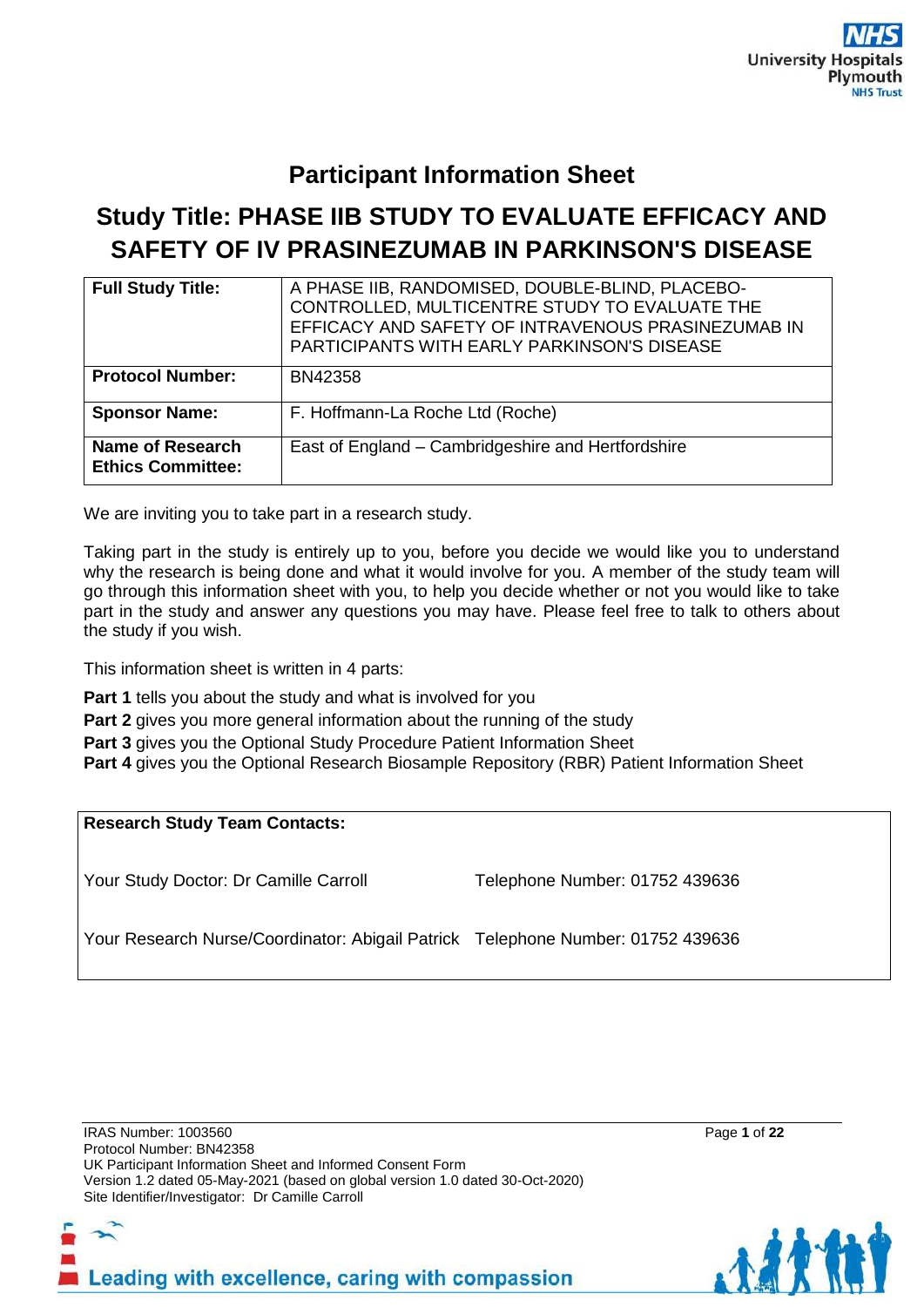# **Participant Information Sheet**

# **Study Title: PHASE IIB STUDY TO EVALUATE EFFICACY AND SAFETY OF IV PRASINEZUMAB IN PARKINSON'S DISEASE**

| <b>Full Study Title:</b>                     | A PHASE IIB, RANDOMISED, DOUBLE-BLIND, PLACEBO-<br>CONTROLLED, MULTICENTRE STUDY TO EVALUATE THE<br>EFFICACY AND SAFETY OF INTRAVENOUS PRASINEZUMAB IN<br><b>PARTICIPANTS WITH EARLY PARKINSON'S DISEASE</b> |
|----------------------------------------------|--------------------------------------------------------------------------------------------------------------------------------------------------------------------------------------------------------------|
| <b>Protocol Number:</b>                      | BN42358                                                                                                                                                                                                      |
| <b>Sponsor Name:</b>                         | F. Hoffmann-La Roche Ltd (Roche)                                                                                                                                                                             |
| Name of Research<br><b>Ethics Committee:</b> | East of England - Cambridgeshire and Hertfordshire                                                                                                                                                           |

We are inviting you to take part in a research study.

Taking part in the study is entirely up to you, before you decide we would like you to understand why the research is being done and what it would involve for you. A member of the study team will go through this information sheet with you, to help you decide whether or not you would like to take part in the study and answer any questions you may have. Please feel free to talk to others about the study if you wish.

This information sheet is written in 4 parts:

**Part 1** tells you about the study and what is involved for you

**Part 2** gives you more general information about the running of the study

**Part 3** gives you the Optional Study Procedure Patient Information Sheet

**Part 4** gives you the Optional Research Biosample Repository (RBR) Patient Information Sheet

# **Research Study Team Contacts:**

Your Study Doctor: Dr Camille Carroll Telephone Number: 01752 439636

Your Research Nurse/Coordinator: Abigail Patrick Telephone Number: 01752 439636



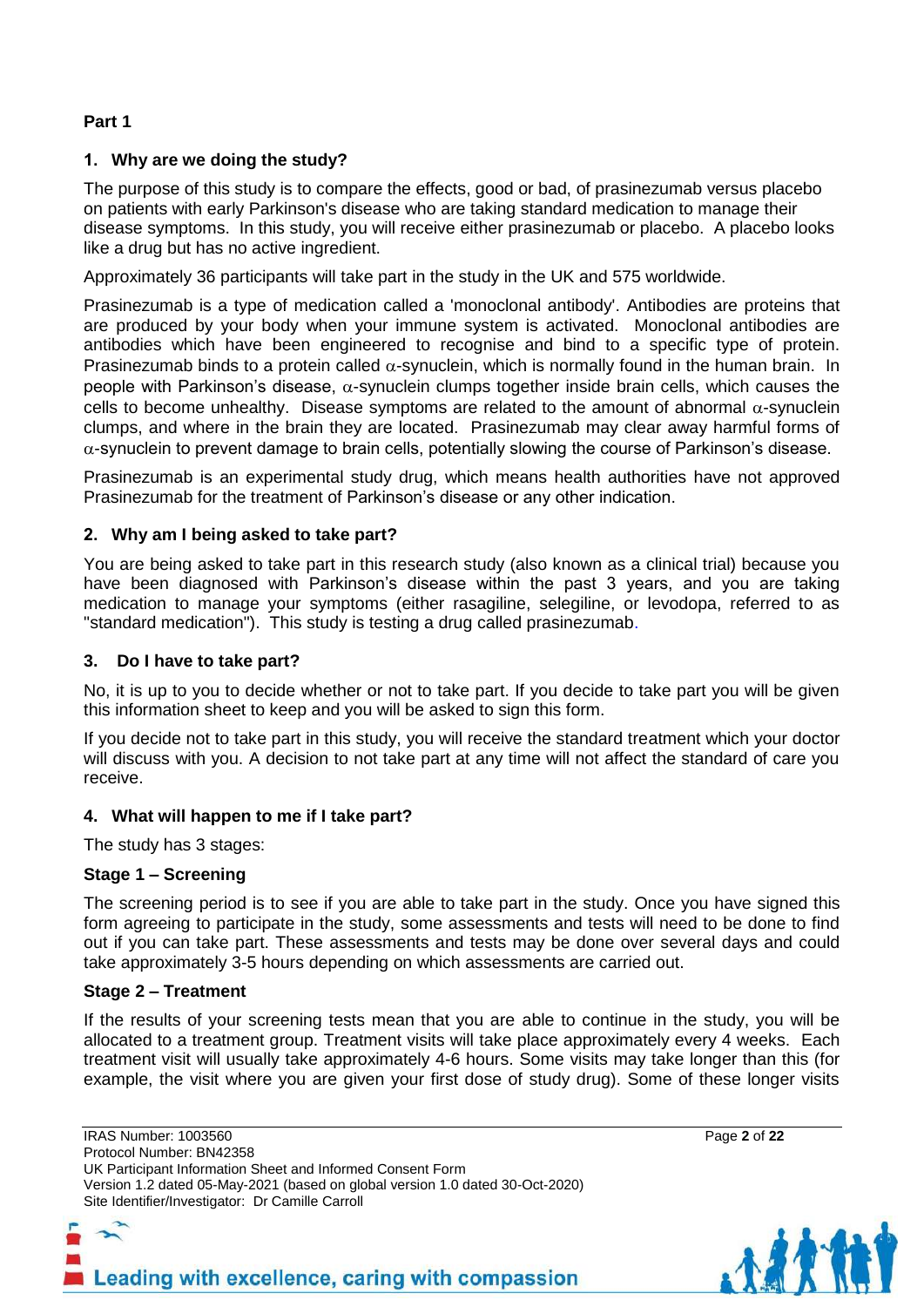# **Part 1**

# **1. Why are we doing the study?**

The purpose of this study is to compare the effects, good or bad, of prasinezumab versus placebo on patients with early Parkinson's disease who are taking standard medication to manage their disease symptoms. In this study, you will receive either prasinezumab or placebo. A placebo looks like a drug but has no active ingredient.

Approximately 36 participants will take part in the study in the UK and 575 worldwide.

Prasinezumab is a type of medication called a 'monoclonal antibody'. Antibodies are proteins that are produced by your body when your immune system is activated. Monoclonal antibodies are antibodies which have been engineered to recognise and bind to a specific type of protein. Prasinezumab binds to a protein called  $\alpha$ -synuclein, which is normally found in the human brain. In people with Parkinson's disease,  $\alpha$ -synuclein clumps together inside brain cells, which causes the cells to become unhealthy. Disease symptoms are related to the amount of abnormal  $\alpha$ -synuclein clumps, and where in the brain they are located. Prasinezumab may clear away harmful forms of  $\alpha$ -synuclein to prevent damage to brain cells, potentially slowing the course of Parkinson's disease.

Prasinezumab is an experimental study drug, which means health authorities have not approved Prasinezumab for the treatment of Parkinson's disease or any other indication.

#### **2. Why am I being asked to take part?**

You are being asked to take part in this research study (also known as a clinical trial) because you have been diagnosed with Parkinson's disease within the past 3 years, and you are taking medication to manage your symptoms (either rasagiline, selegiline, or levodopa, referred to as "standard medication"). This study is testing a drug called prasinezumab.

#### **3. Do I have to take part?**

No, it is up to you to decide whether or not to take part. If you decide to take part you will be given this information sheet to keep and you will be asked to sign this form.

If you decide not to take part in this study, you will receive the standard treatment which your doctor will discuss with you. A decision to not take part at any time will not affect the standard of care you receive.

#### **4. What will happen to me if I take part?**

The study has 3 stages:

#### **Stage 1 – Screening**

The screening period is to see if you are able to take part in the study. Once you have signed this form agreeing to participate in the study, some assessments and tests will need to be done to find out if you can take part. These assessments and tests may be done over several days and could take approximately 3-5 hours depending on which assessments are carried out.

#### **Stage 2 – Treatment**

If the results of your screening tests mean that you are able to continue in the study, you will be allocated to a treatment group. Treatment visits will take place approximately every 4 weeks. Each treatment visit will usually take approximately 4-6 hours. Some visits may take longer than this (for example, the visit where you are given your first dose of study drug). Some of these longer visits

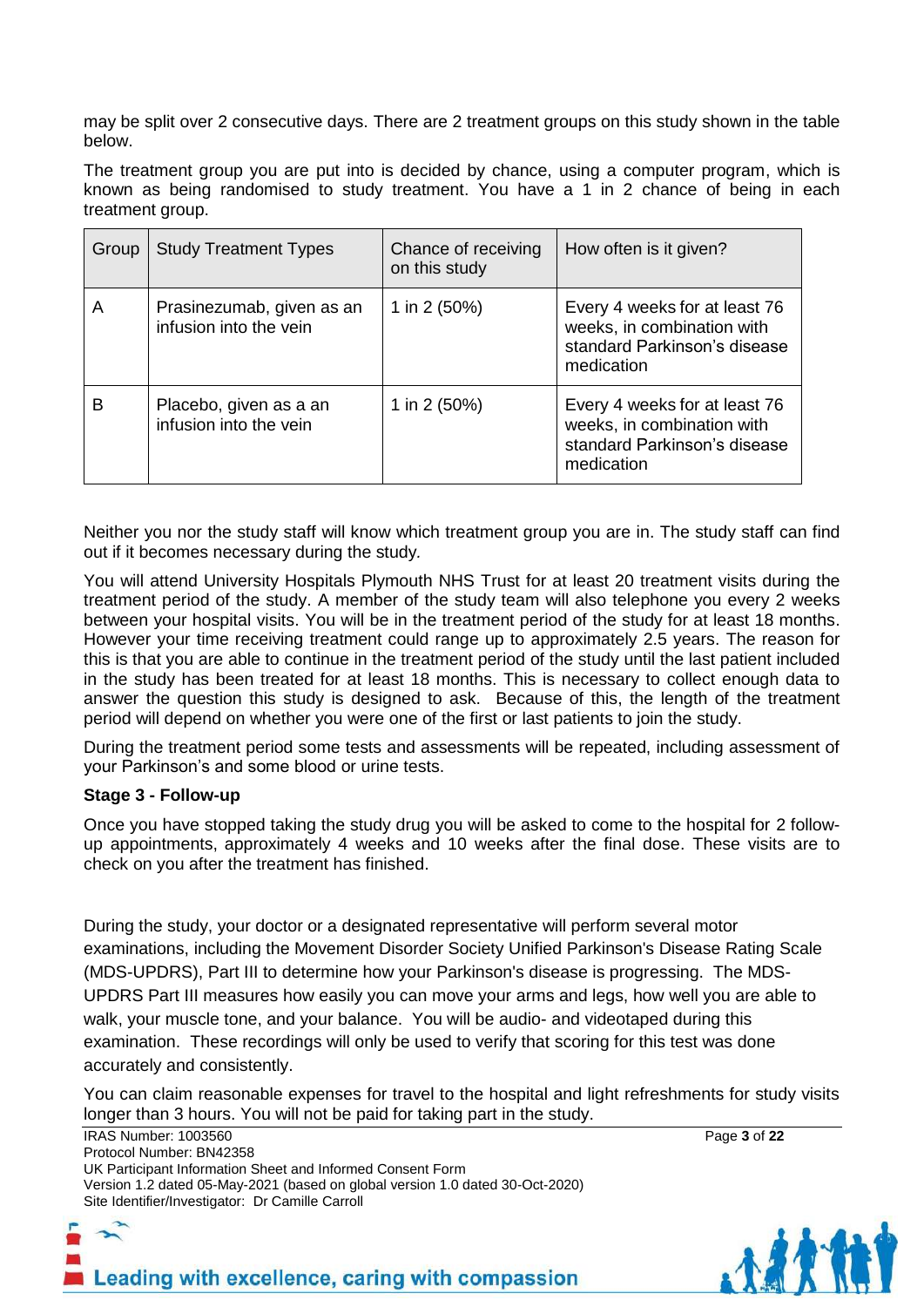may be split over 2 consecutive days. There are 2 treatment groups on this study shown in the table below.

The treatment group you are put into is decided by chance, using a computer program, which is known as being randomised to study treatment. You have a 1 in 2 chance of being in each treatment group.

| Group | <b>Study Treatment Types</b>                        | Chance of receiving<br>on this study | How often is it given?                                                                                    |
|-------|-----------------------------------------------------|--------------------------------------|-----------------------------------------------------------------------------------------------------------|
| A     | Prasinezumab, given as an<br>infusion into the vein | 1 in 2 (50%)                         | Every 4 weeks for at least 76<br>weeks, in combination with<br>standard Parkinson's disease<br>medication |
| в     | Placebo, given as a an<br>infusion into the vein    | 1 in 2 (50%)                         | Every 4 weeks for at least 76<br>weeks, in combination with<br>standard Parkinson's disease<br>medication |

Neither you nor the study staff will know which treatment group you are in. The study staff can find out if it becomes necessary during the study*.*

You will attend University Hospitals Plymouth NHS Trust for at least 20 treatment visits during the treatment period of the study. A member of the study team will also telephone you every 2 weeks between your hospital visits. You will be in the treatment period of the study for at least 18 months. However your time receiving treatment could range up to approximately 2.5 years. The reason for this is that you are able to continue in the treatment period of the study until the last patient included in the study has been treated for at least 18 months. This is necessary to collect enough data to answer the question this study is designed to ask. Because of this, the length of the treatment period will depend on whether you were one of the first or last patients to join the study.

During the treatment period some tests and assessments will be repeated, including assessment of your Parkinson's and some blood or urine tests.

#### **Stage 3 - Follow-up**

Once you have stopped taking the study drug you will be asked to come to the hospital for 2 followup appointments, approximately 4 weeks and 10 weeks after the final dose. These visits are to check on you after the treatment has finished.

During the study, your doctor or a designated representative will perform several motor examinations, including the Movement Disorder Society Unified Parkinson's Disease Rating Scale (MDS-UPDRS), Part III to determine how your Parkinson's disease is progressing. The MDS-UPDRS Part III measures how easily you can move your arms and legs, how well you are able to walk, your muscle tone, and your balance. You will be audio- and videotaped during this examination. These recordings will only be used to verify that scoring for this test was done accurately and consistently.

You can claim reasonable expenses for travel to the hospital and light refreshments for study visits longer than 3 hours. You will not be paid for taking part in the study.

IRAS Number: 1003560 Page **3** of **22** Protocol Number: BN42358 UK Participant Information Sheet and Informed Consent Form Version 1.2 dated 05-May-2021 (based on global version 1.0 dated 30-Oct-2020) Site Identifier/Investigator: Dr Camille Carroll

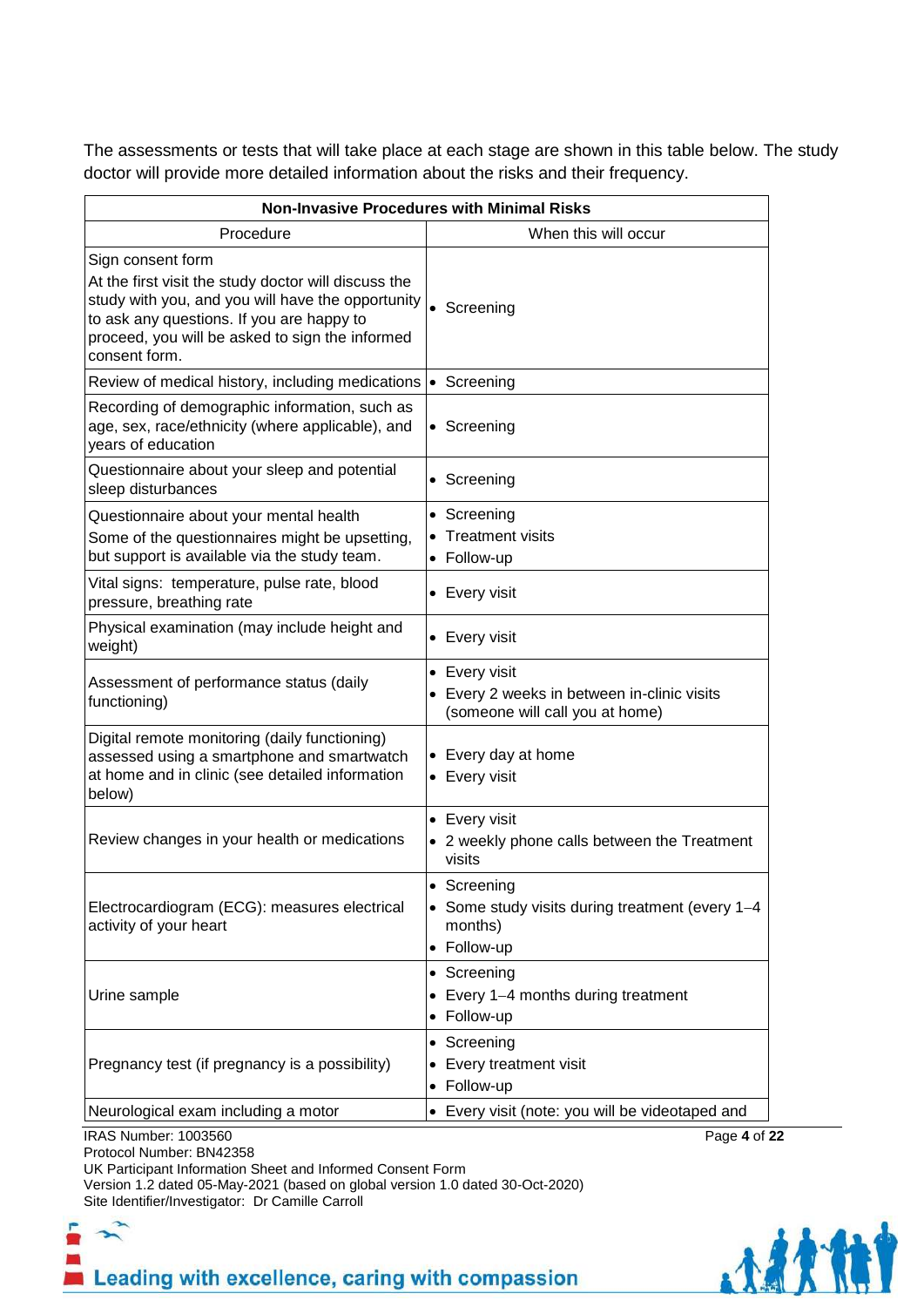The assessments or tests that will take place at each stage are shown in this table below. The study doctor will provide more detailed information about the risks and their frequency.

| Procedure<br>When this will occur<br>• Screening<br>• Screening<br>• Screening<br>• Screening<br>• Screening<br>• Treatment visits<br>• Follow-up<br>• Every visit<br>• Every visit<br>• Every visit<br>• Every 2 weeks in between in-clinic visits<br>(someone will call you at home)<br>• Every day at home<br>• Every visit<br>• Every visit<br>• 2 weekly phone calls between the Treatment<br>visits<br>• Screening<br>• Some study visits during treatment (every 1-4<br>months)<br>• Follow-up<br>• Screening<br>• Every 1-4 months during treatment<br>• Follow-up<br>• Screening<br>• Every treatment visit<br>• Follow-up<br>• Every visit (note: you will be videotaped and | <b>Non-Invasive Procedures with Minimal Risks</b>                                                                                                                                                                                               |  |  |  |
|----------------------------------------------------------------------------------------------------------------------------------------------------------------------------------------------------------------------------------------------------------------------------------------------------------------------------------------------------------------------------------------------------------------------------------------------------------------------------------------------------------------------------------------------------------------------------------------------------------------------------------------------------------------------------------------|-------------------------------------------------------------------------------------------------------------------------------------------------------------------------------------------------------------------------------------------------|--|--|--|
|                                                                                                                                                                                                                                                                                                                                                                                                                                                                                                                                                                                                                                                                                        |                                                                                                                                                                                                                                                 |  |  |  |
|                                                                                                                                                                                                                                                                                                                                                                                                                                                                                                                                                                                                                                                                                        | Sign consent form<br>At the first visit the study doctor will discuss the<br>study with you, and you will have the opportunity<br>to ask any questions. If you are happy to<br>proceed, you will be asked to sign the informed<br>consent form. |  |  |  |
|                                                                                                                                                                                                                                                                                                                                                                                                                                                                                                                                                                                                                                                                                        | Review of medical history, including medications                                                                                                                                                                                                |  |  |  |
|                                                                                                                                                                                                                                                                                                                                                                                                                                                                                                                                                                                                                                                                                        | Recording of demographic information, such as<br>age, sex, race/ethnicity (where applicable), and<br>years of education                                                                                                                         |  |  |  |
|                                                                                                                                                                                                                                                                                                                                                                                                                                                                                                                                                                                                                                                                                        | Questionnaire about your sleep and potential<br>sleep disturbances                                                                                                                                                                              |  |  |  |
|                                                                                                                                                                                                                                                                                                                                                                                                                                                                                                                                                                                                                                                                                        | Questionnaire about your mental health<br>Some of the questionnaires might be upsetting,<br>but support is available via the study team.                                                                                                        |  |  |  |
|                                                                                                                                                                                                                                                                                                                                                                                                                                                                                                                                                                                                                                                                                        | Vital signs: temperature, pulse rate, blood<br>pressure, breathing rate                                                                                                                                                                         |  |  |  |
|                                                                                                                                                                                                                                                                                                                                                                                                                                                                                                                                                                                                                                                                                        | Physical examination (may include height and<br>weight)                                                                                                                                                                                         |  |  |  |
|                                                                                                                                                                                                                                                                                                                                                                                                                                                                                                                                                                                                                                                                                        | Assessment of performance status (daily<br>functioning)                                                                                                                                                                                         |  |  |  |
|                                                                                                                                                                                                                                                                                                                                                                                                                                                                                                                                                                                                                                                                                        | Digital remote monitoring (daily functioning)<br>assessed using a smartphone and smartwatch<br>at home and in clinic (see detailed information<br>below)                                                                                        |  |  |  |
|                                                                                                                                                                                                                                                                                                                                                                                                                                                                                                                                                                                                                                                                                        | Review changes in your health or medications                                                                                                                                                                                                    |  |  |  |
|                                                                                                                                                                                                                                                                                                                                                                                                                                                                                                                                                                                                                                                                                        | Electrocardiogram (ECG): measures electrical<br>activity of your heart                                                                                                                                                                          |  |  |  |
|                                                                                                                                                                                                                                                                                                                                                                                                                                                                                                                                                                                                                                                                                        | Urine sample                                                                                                                                                                                                                                    |  |  |  |
|                                                                                                                                                                                                                                                                                                                                                                                                                                                                                                                                                                                                                                                                                        | Pregnancy test (if pregnancy is a possibility)                                                                                                                                                                                                  |  |  |  |
|                                                                                                                                                                                                                                                                                                                                                                                                                                                                                                                                                                                                                                                                                        | Neurological exam including a motor                                                                                                                                                                                                             |  |  |  |

Protocol Number: BN42358

UK Participant Information Sheet and Informed Consent Form

Version 1.2 dated 05-May-2021 (based on global version 1.0 dated 30-Oct-2020) Site Identifier/Investigator: Dr Camille Carroll



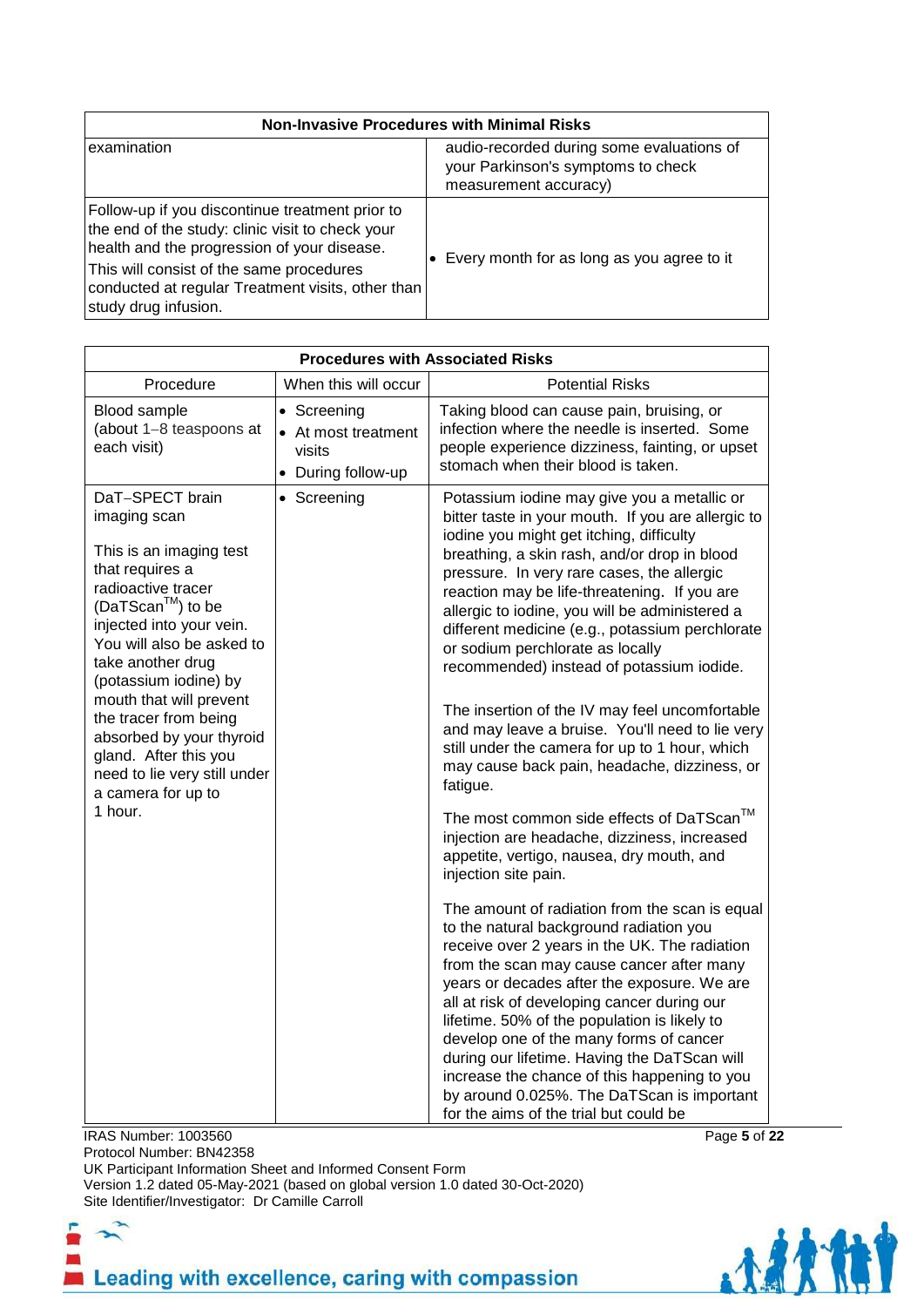| <b>Non-Invasive Procedures with Minimal Risks</b>                                                                                                                                                                                                                           |                                                                                                          |  |  |
|-----------------------------------------------------------------------------------------------------------------------------------------------------------------------------------------------------------------------------------------------------------------------------|----------------------------------------------------------------------------------------------------------|--|--|
| examination                                                                                                                                                                                                                                                                 | audio-recorded during some evaluations of<br>your Parkinson's symptoms to check<br>measurement accuracy) |  |  |
| Follow-up if you discontinue treatment prior to<br>the end of the study: clinic visit to check your<br>health and the progression of your disease.<br>This will consist of the same procedures<br>conducted at regular Treatment visits, other than<br>study drug infusion. | Every month for as long as you agree to it                                                               |  |  |

| <b>Procedures with Associated Risks</b>                                                                                                                                                                                                                                                                                                                                                                     |                                                                    |                                                                                                                                                                                                                                                                                                                                                                                                                                                                                                                                                                                                                                                                                                                                                                                                                                                                                                                                                                                                                                                                                                                                                                                                                                                                                                                                                                                                                                                   |  |  |
|-------------------------------------------------------------------------------------------------------------------------------------------------------------------------------------------------------------------------------------------------------------------------------------------------------------------------------------------------------------------------------------------------------------|--------------------------------------------------------------------|---------------------------------------------------------------------------------------------------------------------------------------------------------------------------------------------------------------------------------------------------------------------------------------------------------------------------------------------------------------------------------------------------------------------------------------------------------------------------------------------------------------------------------------------------------------------------------------------------------------------------------------------------------------------------------------------------------------------------------------------------------------------------------------------------------------------------------------------------------------------------------------------------------------------------------------------------------------------------------------------------------------------------------------------------------------------------------------------------------------------------------------------------------------------------------------------------------------------------------------------------------------------------------------------------------------------------------------------------------------------------------------------------------------------------------------------------|--|--|
| Procedure                                                                                                                                                                                                                                                                                                                                                                                                   | When this will occur                                               | <b>Potential Risks</b>                                                                                                                                                                                                                                                                                                                                                                                                                                                                                                                                                                                                                                                                                                                                                                                                                                                                                                                                                                                                                                                                                                                                                                                                                                                                                                                                                                                                                            |  |  |
| Blood sample<br>(about 1-8 teaspoons at<br>each visit)                                                                                                                                                                                                                                                                                                                                                      | • Screening<br>• At most treatment<br>visits<br>• During follow-up | Taking blood can cause pain, bruising, or<br>infection where the needle is inserted. Some<br>people experience dizziness, fainting, or upset<br>stomach when their blood is taken.                                                                                                                                                                                                                                                                                                                                                                                                                                                                                                                                                                                                                                                                                                                                                                                                                                                                                                                                                                                                                                                                                                                                                                                                                                                                |  |  |
| DaT-SPECT brain<br>imaging scan<br>This is an imaging test<br>that requires a<br>radioactive tracer<br>$(DaTScanTM)$ to be<br>injected into your vein.<br>You will also be asked to<br>take another drug<br>(potassium iodine) by<br>mouth that will prevent<br>the tracer from being<br>absorbed by your thyroid<br>gland. After this you<br>need to lie very still under<br>a camera for up to<br>1 hour. | • Screening                                                        | Potassium iodine may give you a metallic or<br>bitter taste in your mouth. If you are allergic to<br>iodine you might get itching, difficulty<br>breathing, a skin rash, and/or drop in blood<br>pressure. In very rare cases, the allergic<br>reaction may be life-threatening. If you are<br>allergic to iodine, you will be administered a<br>different medicine (e.g., potassium perchlorate<br>or sodium perchlorate as locally<br>recommended) instead of potassium iodide.<br>The insertion of the IV may feel uncomfortable<br>and may leave a bruise. You'll need to lie very<br>still under the camera for up to 1 hour, which<br>may cause back pain, headache, dizziness, or<br>fatigue.<br>The most common side effects of DaTScan™<br>injection are headache, dizziness, increased<br>appetite, vertigo, nausea, dry mouth, and<br>injection site pain.<br>The amount of radiation from the scan is equal<br>to the natural background radiation you<br>receive over 2 years in the UK. The radiation<br>from the scan may cause cancer after many<br>years or decades after the exposure. We are<br>all at risk of developing cancer during our<br>lifetime. 50% of the population is likely to<br>develop one of the many forms of cancer<br>during our lifetime. Having the DaTScan will<br>increase the chance of this happening to you<br>by around 0.025%. The DaTScan is important<br>for the aims of the trial but could be |  |  |

**IRAS Number: 1003560** Page 5 of 22

Protocol Number: BN42358 UK Participant Information Sheet and Informed Consent Form Version 1.2 dated 05-May-2021 (based on global version 1.0 dated 30-Oct-2020) Site Identifier/Investigator: Dr Camille Carroll

F  $\mathbf{r}$ Leading with excellence, caring with compassion

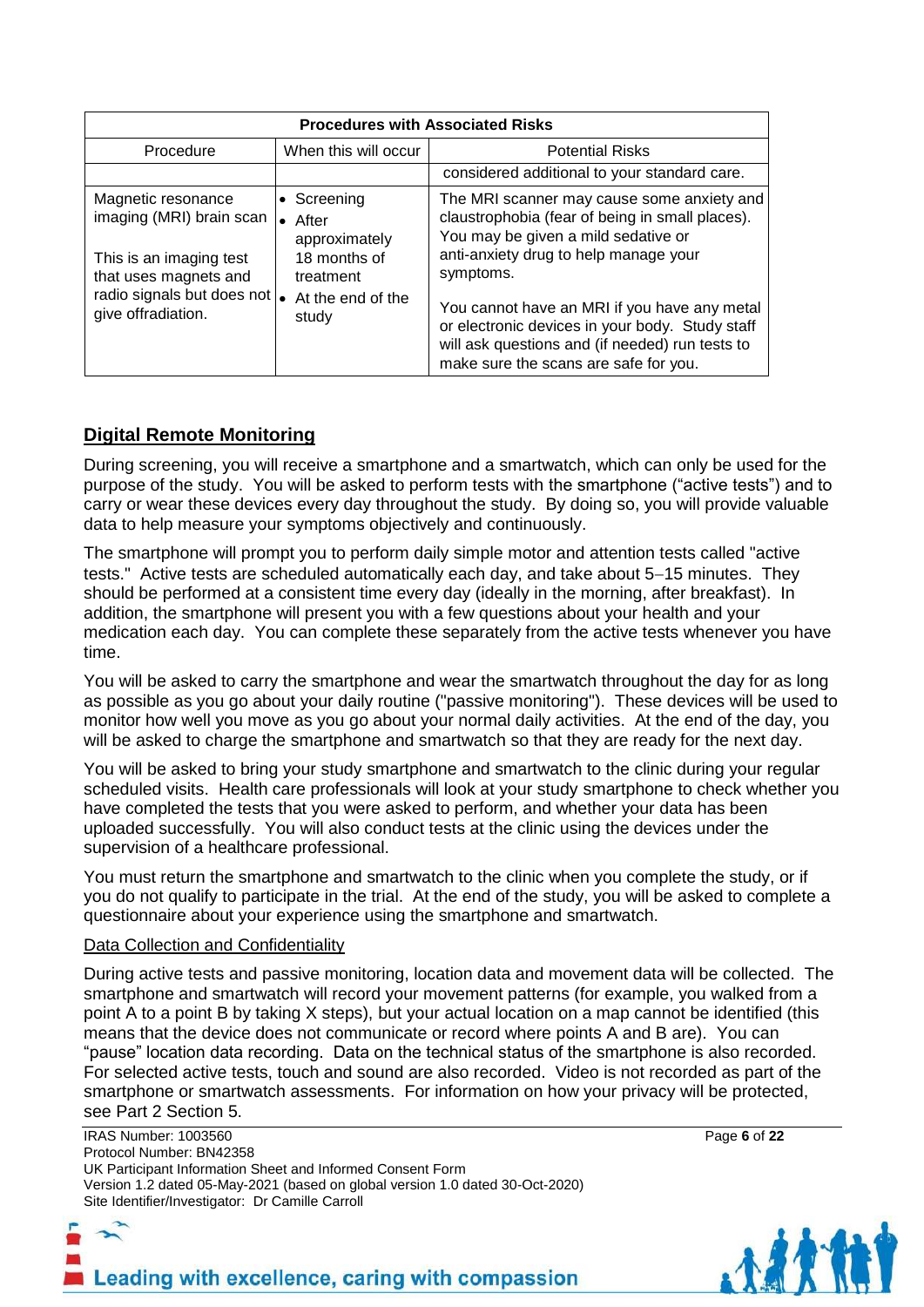| <b>Procedures with Associated Risks</b>                                                                                                                          |                                                                                                  |                                                                                                                                                                                                                                                                                                                                                                                           |  |  |
|------------------------------------------------------------------------------------------------------------------------------------------------------------------|--------------------------------------------------------------------------------------------------|-------------------------------------------------------------------------------------------------------------------------------------------------------------------------------------------------------------------------------------------------------------------------------------------------------------------------------------------------------------------------------------------|--|--|
| Procedure                                                                                                                                                        | When this will occur                                                                             | <b>Potential Risks</b>                                                                                                                                                                                                                                                                                                                                                                    |  |  |
|                                                                                                                                                                  |                                                                                                  | considered additional to your standard care.                                                                                                                                                                                                                                                                                                                                              |  |  |
| Magnetic resonance<br>imaging (MRI) brain scan<br>This is an imaging test<br>that uses magnets and<br>radio signals but does not $\bullet$<br>give offradiation. | • Screening<br>After<br>approximately<br>18 months of<br>treatment<br>At the end of the<br>study | The MRI scanner may cause some anxiety and<br>claustrophobia (fear of being in small places).<br>You may be given a mild sedative or<br>anti-anxiety drug to help manage your<br>symptoms.<br>You cannot have an MRI if you have any metal<br>or electronic devices in your body. Study staff<br>will ask questions and (if needed) run tests to<br>make sure the scans are safe for you. |  |  |

# **Digital Remote Monitoring**

During screening, you will receive a smartphone and a smartwatch, which can only be used for the purpose of the study. You will be asked to perform tests with the smartphone ("active tests") and to carry or wear these devices every day throughout the study. By doing so, you will provide valuable data to help measure your symptoms objectively and continuously.

The smartphone will prompt you to perform daily simple motor and attention tests called "active tests." Active tests are scheduled automatically each day, and take about 5-15 minutes. They should be performed at a consistent time every day (ideally in the morning, after breakfast). In addition, the smartphone will present you with a few questions about your health and your medication each day. You can complete these separately from the active tests whenever you have time.

You will be asked to carry the smartphone and wear the smartwatch throughout the day for as long as possible as you go about your daily routine ("passive monitoring"). These devices will be used to monitor how well you move as you go about your normal daily activities. At the end of the day, you will be asked to charge the smartphone and smartwatch so that they are ready for the next day.

You will be asked to bring your study smartphone and smartwatch to the clinic during your regular scheduled visits. Health care professionals will look at your study smartphone to check whether you have completed the tests that you were asked to perform, and whether your data has been uploaded successfully. You will also conduct tests at the clinic using the devices under the supervision of a healthcare professional.

You must return the smartphone and smartwatch to the clinic when you complete the study, or if you do not qualify to participate in the trial. At the end of the study, you will be asked to complete a questionnaire about your experience using the smartphone and smartwatch.

#### Data Collection and Confidentiality

During active tests and passive monitoring, location data and movement data will be collected. The smartphone and smartwatch will record your movement patterns (for example, you walked from a point A to a point B by taking X steps), but your actual location on a map cannot be identified (this means that the device does not communicate or record where points A and B are). You can "pause" location data recording. Data on the technical status of the smartphone is also recorded. For selected active tests, touch and sound are also recorded. Video is not recorded as part of the smartphone or smartwatch assessments. For information on how your privacy will be protected, see Part 2 Section 5.

IRAS Number: 1003560 Page **6** of **22** Protocol Number: BN42358 UK Participant Information Sheet and Informed Consent Form Version 1.2 dated 05-May-2021 (based on global version 1.0 dated 30-Oct-2020) Site Identifier/Investigator: Dr Camille Carroll

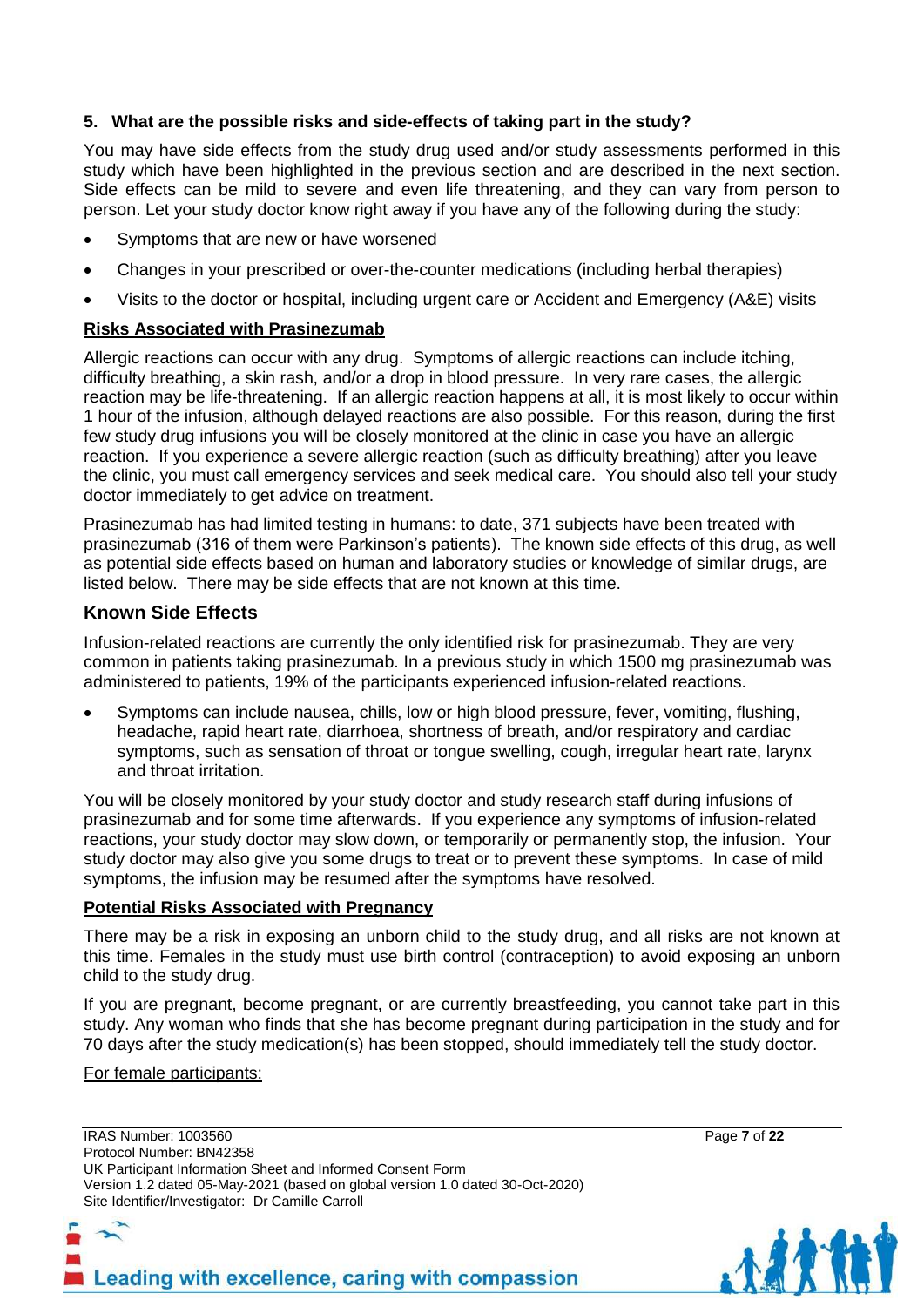# **5. What are the possible risks and side-effects of taking part in the study?**

You may have side effects from the study drug used and/or study assessments performed in this study which have been highlighted in the previous section and are described in the next section. Side effects can be mild to severe and even life threatening, and they can vary from person to person. Let your study doctor know right away if you have any of the following during the study:

- Symptoms that are new or have worsened
- Changes in your prescribed or over-the-counter medications (including herbal therapies)
- Visits to the doctor or hospital, including urgent care or Accident and Emergency (A&E) visits

#### **Risks Associated with Prasinezumab**

Allergic reactions can occur with any drug. Symptoms of allergic reactions can include itching, difficulty breathing, a skin rash, and/or a drop in blood pressure. In very rare cases, the allergic reaction may be life-threatening. If an allergic reaction happens at all, it is most likely to occur within 1 hour of the infusion, although delayed reactions are also possible. For this reason, during the first few study drug infusions you will be closely monitored at the clinic in case you have an allergic reaction. If you experience a severe allergic reaction (such as difficulty breathing) after you leave the clinic, you must call emergency services and seek medical care. You should also tell your study doctor immediately to get advice on treatment.

Prasinezumab has had limited testing in humans: to date, 371 subjects have been treated with prasinezumab (316 of them were Parkinson's patients). The known side effects of this drug, as well as potential side effects based on human and laboratory studies or knowledge of similar drugs, are listed below. There may be side effects that are not known at this time.

# **Known Side Effects**

Infusion-related reactions are currently the only identified risk for prasinezumab. They are very common in patients taking prasinezumab. In a previous study in which 1500 mg prasinezumab was administered to patients, 19% of the participants experienced infusion-related reactions.

 Symptoms can include nausea, chills, low or high blood pressure, fever, vomiting, flushing, headache, rapid heart rate, diarrhoea, shortness of breath, and/or respiratory and cardiac symptoms, such as sensation of throat or tongue swelling, cough, irregular heart rate, larynx and throat irritation.

You will be closely monitored by your study doctor and study research staff during infusions of prasinezumab and for some time afterwards. If you experience any symptoms of infusion-related reactions, your study doctor may slow down, or temporarily or permanently stop, the infusion. Your study doctor may also give you some drugs to treat or to prevent these symptoms. In case of mild symptoms, the infusion may be resumed after the symptoms have resolved.

#### **Potential Risks Associated with Pregnancy**

There may be a risk in exposing an unborn child to the study drug, and all risks are not known at this time. Females in the study must use birth control (contraception) to avoid exposing an unborn child to the study drug.

If you are pregnant, become pregnant, or are currently breastfeeding, you cannot take part in this study. Any woman who finds that she has become pregnant during participation in the study and for 70 days after the study medication(s) has been stopped, should immediately tell the study doctor.

For female participants:

IRAS Number: 1003560 Page **7** of **22** Protocol Number: BN42358 UK Participant Information Sheet and Informed Consent Form Version 1.2 dated 05-May-2021 (based on global version 1.0 dated 30-Oct-2020) Site Identifier/Investigator: Dr Camille Carroll

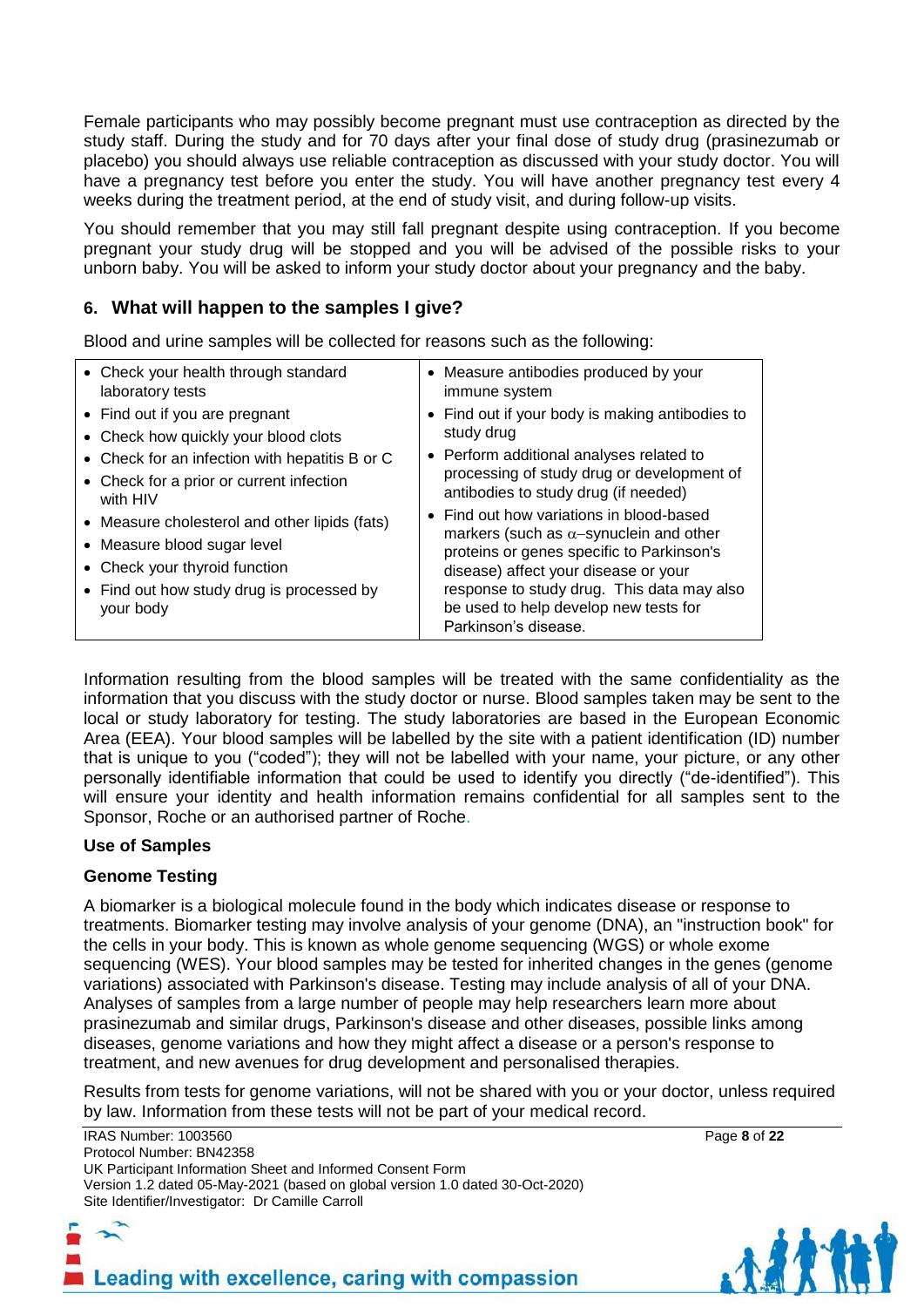Female participants who may possibly become pregnant must use contraception as directed by the study staff. During the study and for 70 days after your final dose of study drug (prasinezumab or placebo) you should always use reliable contraception as discussed with your study doctor. You will have a pregnancy test before you enter the study. You will have another pregnancy test every 4 weeks during the treatment period, at the end of study visit, and during follow-up visits.

You should remember that you may still fall pregnant despite using contraception. If you become pregnant your study drug will be stopped and you will be advised of the possible risks to your unborn baby. You will be asked to inform your study doctor about your pregnancy and the baby.

# **6. What will happen to the samples I give?**

Blood and urine samples will be collected for reasons such as the following:

| • Check your health through standard                                                                                                                                    | • Measure antibodies produced by your                                                                                                                                                                                                                                                          |  |
|-------------------------------------------------------------------------------------------------------------------------------------------------------------------------|------------------------------------------------------------------------------------------------------------------------------------------------------------------------------------------------------------------------------------------------------------------------------------------------|--|
| laboratory tests                                                                                                                                                        | immune system                                                                                                                                                                                                                                                                                  |  |
| • Find out if you are pregnant                                                                                                                                          | • Find out if your body is making antibodies to                                                                                                                                                                                                                                                |  |
| • Check how quickly your blood clots                                                                                                                                    | study drug                                                                                                                                                                                                                                                                                     |  |
| • Check for an infection with hepatitis B or C                                                                                                                          | • Perform additional analyses related to                                                                                                                                                                                                                                                       |  |
| • Check for a prior or current infection                                                                                                                                | processing of study drug or development of                                                                                                                                                                                                                                                     |  |
| with HIV                                                                                                                                                                | antibodies to study drug (if needed)                                                                                                                                                                                                                                                           |  |
| • Measure cholesterol and other lipids (fats)<br>• Measure blood sugar level<br>• Check your thyroid function<br>• Find out how study drug is processed by<br>your body | • Find out how variations in blood-based<br>markers (such as $\alpha$ -synuclein and other<br>proteins or genes specific to Parkinson's<br>disease) affect your disease or your<br>response to study drug. This data may also<br>be used to help develop new tests for<br>Parkinson's disease. |  |

Information resulting from the blood samples will be treated with the same confidentiality as the information that you discuss with the study doctor or nurse. Blood samples taken may be sent to the local or study laboratory for testing. The study laboratories are based in the European Economic Area (EEA). Your blood samples will be labelled by the site with a patient identification (ID) number that is unique to you ("coded"); they will not be labelled with your name, your picture, or any other personally identifiable information that could be used to identify you directly ("de-identified"). This will ensure your identity and health information remains confidential for all samples sent to the Sponsor, Roche or an authorised partner of Roche.

#### **Use of Samples**

# **Genome Testing**

A biomarker is a biological molecule found in the body which indicates disease or response to treatments. Biomarker testing may involve analysis of your genome (DNA), an "instruction book" for the cells in your body. This is known as whole genome sequencing (WGS) or whole exome sequencing (WES). Your blood samples may be tested for inherited changes in the genes (genome variations) associated with Parkinson's disease. Testing may include analysis of all of your DNA. Analyses of samples from a large number of people may help researchers learn more about prasinezumab and similar drugs, Parkinson's disease and other diseases, possible links among diseases, genome variations and how they might affect a disease or a person's response to treatment, and new avenues for drug development and personalised therapies.

Results from tests for genome variations, will not be shared with you or your doctor, unless required by law. Information from these tests will not be part of your medical record.

IRAS Number: 1003560 Page **8** of **22** Protocol Number: BN42358 UK Participant Information Sheet and Informed Consent Form Version 1.2 dated 05-May-2021 (based on global version 1.0 dated 30-Oct-2020) Site Identifier/Investigator: Dr Camille Carroll

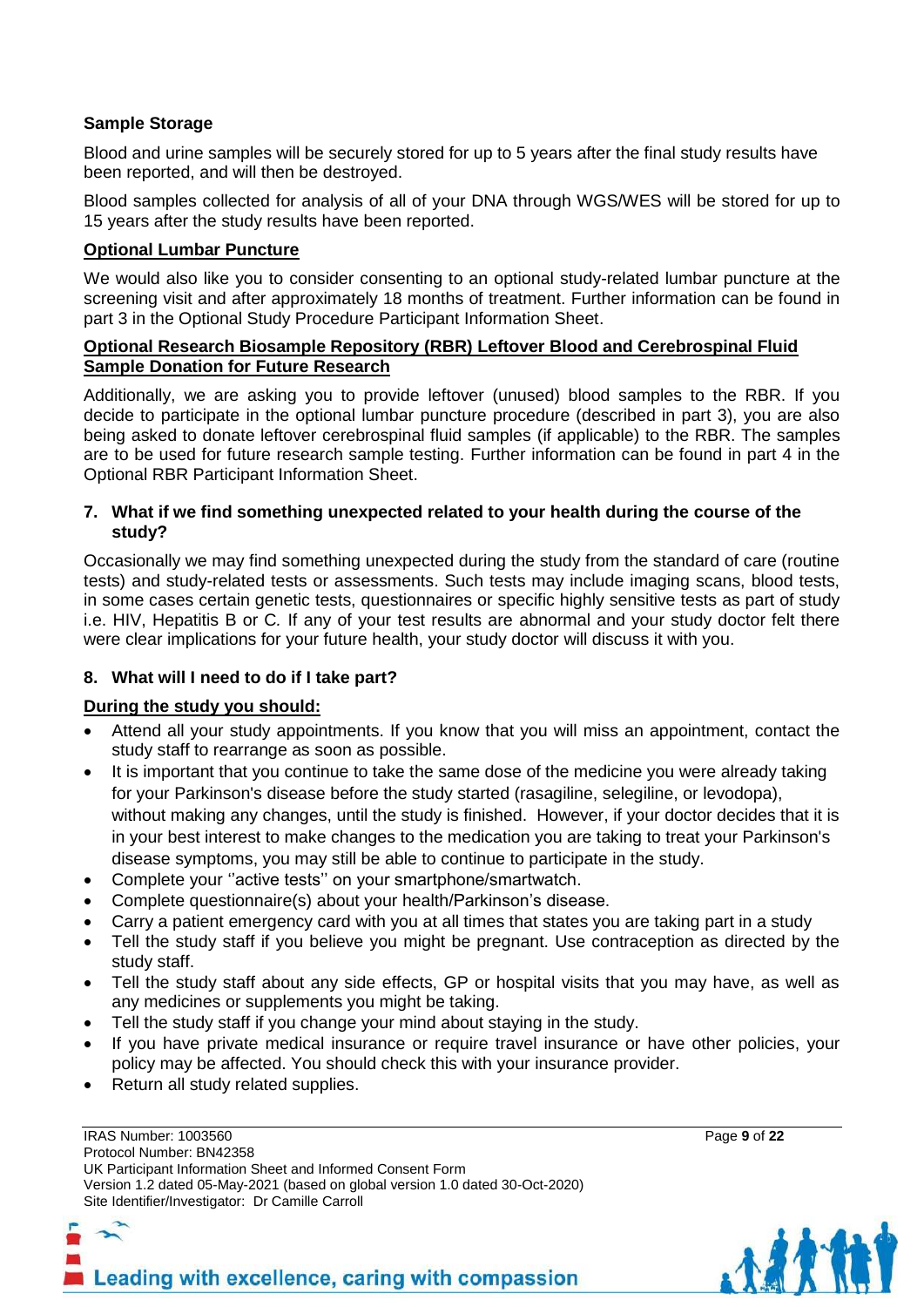# **Sample Storage**

Blood and urine samples will be securely stored for up to 5 years after the final study results have been reported, and will then be destroyed.

Blood samples collected for analysis of all of your DNA through WGS/WES will be stored for up to 15 years after the study results have been reported.

# **Optional Lumbar Puncture**

We would also like you to consider consenting to an optional study-related lumbar puncture at the screening visit and after approximately 18 months of treatment. Further information can be found in part 3 in the Optional Study Procedure Participant Information Sheet.

#### **Optional Research Biosample Repository (RBR) Leftover Blood and Cerebrospinal Fluid Sample Donation for Future Research**

Additionally, we are asking you to provide leftover (unused) blood samples to the RBR. If you decide to participate in the optional lumbar puncture procedure (described in part 3), you are also being asked to donate leftover cerebrospinal fluid samples (if applicable) to the RBR. The samples are to be used for future research sample testing. Further information can be found in part 4 in the Optional RBR Participant Information Sheet.

#### **7. What if we find something unexpected related to your health during the course of the study?**

Occasionally we may find something unexpected during the study from the standard of care (routine tests) and study-related tests or assessments. Such tests may include imaging scans, blood tests, in some cases certain genetic tests, questionnaires or specific highly sensitive tests as part of study i.e. HIV, Hepatitis B or C*.* If any of your test results are abnormal and your study doctor felt there were clear implications for your future health, your study doctor will discuss it with you.

# **8. What will I need to do if I take part?**

# **During the study you should:**

- Attend all your study appointments. If you know that you will miss an appointment, contact the study staff to rearrange as soon as possible.
- It is important that you continue to take the same dose of the medicine you were already taking for your Parkinson's disease before the study started (rasagiline, selegiline, or levodopa), without making any changes, until the study is finished. However, if your doctor decides that it is in your best interest to make changes to the medication you are taking to treat your Parkinson's disease symptoms, you may still be able to continue to participate in the study.
- Complete your ''active tests'' on your smartphone/smartwatch.
- Complete questionnaire(s) about your health/Parkinson's disease.
- Carry a patient emergency card with you at all times that states you are taking part in a study
- Tell the study staff if you believe you might be pregnant. Use contraception as directed by the study staff.
- Tell the study staff about any side effects, GP or hospital visits that you may have, as well as any medicines or supplements you might be taking.
- Tell the study staff if you change your mind about staying in the study.
- If you have private medical insurance or require travel insurance or have other policies, your policy may be affected. You should check this with your insurance provider.
- Return all study related supplies.

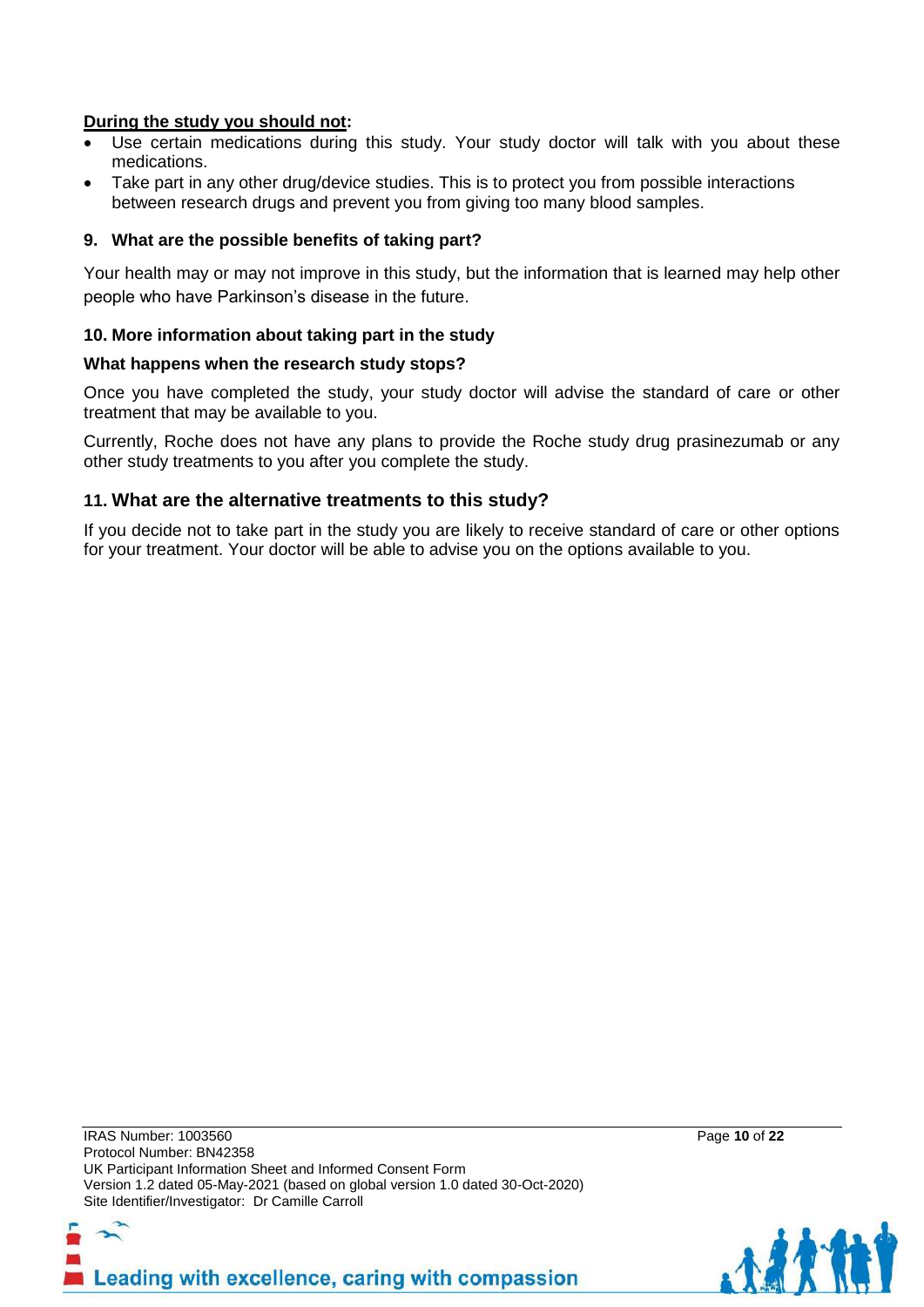# **During the study you should not:**

- Use certain medications during this study. Your study doctor will talk with you about these medications.
- Take part in any other drug/device studies. This is to protect you from possible interactions between research drugs and prevent you from giving too many blood samples.

### **9. What are the possible benefits of taking part?**

Your health may or may not improve in this study, but the information that is learned may help other people who have Parkinson's disease in the future.

#### **10. More information about taking part in the study**

#### **What happens when the research study stops?**

Once you have completed the study, your study doctor will advise the standard of care or other treatment that may be available to you.

Currently, Roche does not have any plans to provide the Roche study drug prasinezumab or any other study treatments to you after you complete the study.

# **11. What are the alternative treatments to this study?**

If you decide not to take part in the study you are likely to receive standard of care or other options for your treatment. Your doctor will be able to advise you on the options available to you.



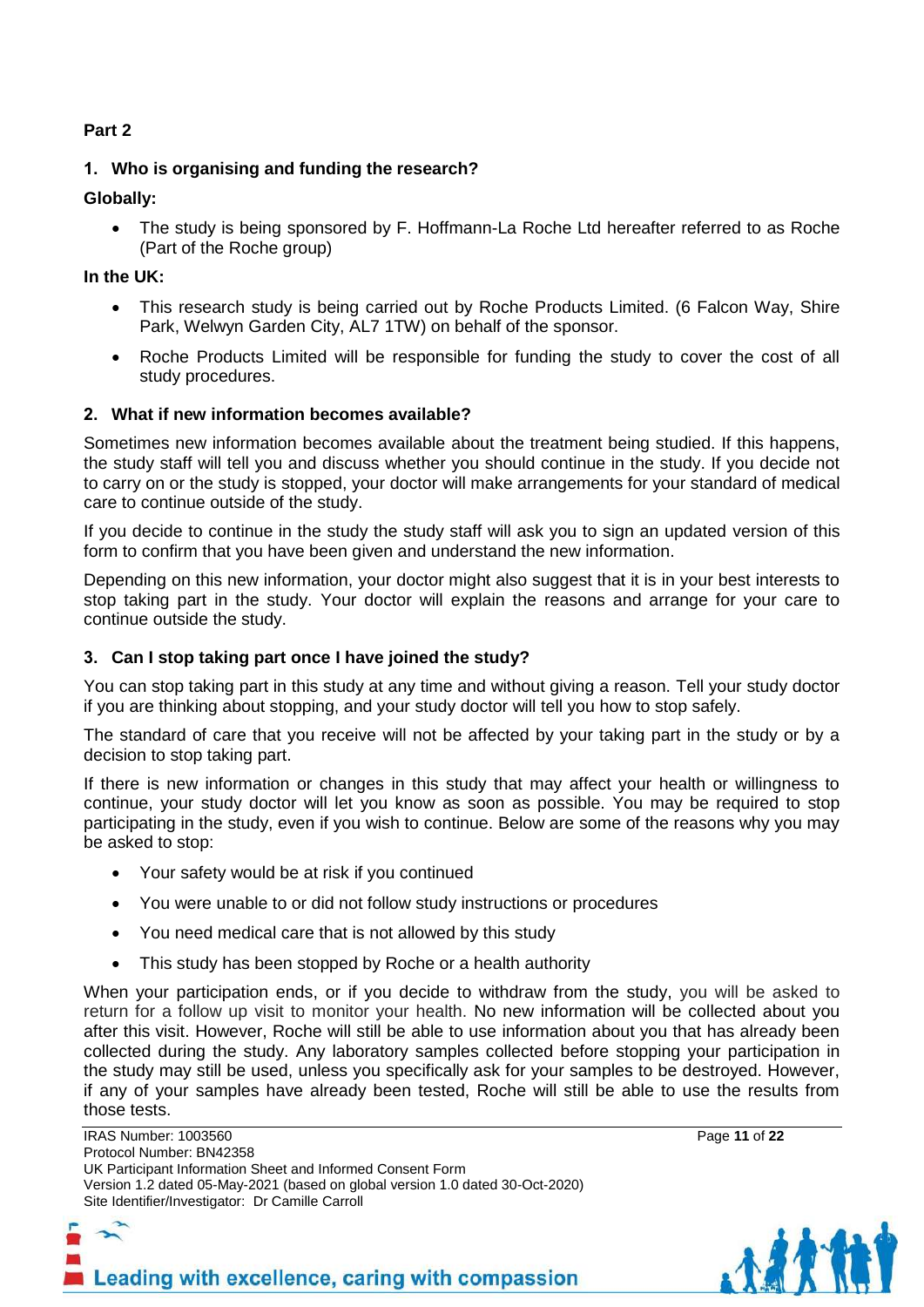# **Part 2**

# **1. Who is organising and funding the research?**

# **Globally:**

• The study is being sponsored by F. Hoffmann-La Roche Ltd hereafter referred to as Roche (Part of the Roche group)

### **In the UK:**

- This research study is being carried out by Roche Products Limited. (6 Falcon Way, Shire Park, Welwyn Garden City, AL7 1TW) on behalf of the sponsor.
- Roche Products Limited will be responsible for funding the study to cover the cost of all study procedures.

# **2. What if new information becomes available?**

Sometimes new information becomes available about the treatment being studied. If this happens, the study staff will tell you and discuss whether you should continue in the study. If you decide not to carry on or the study is stopped, your doctor will make arrangements for your standard of medical care to continue outside of the study.

If you decide to continue in the study the study staff will ask you to sign an updated version of this form to confirm that you have been given and understand the new information.

Depending on this new information, your doctor might also suggest that it is in your best interests to stop taking part in the study. Your doctor will explain the reasons and arrange for your care to continue outside the study.

# **3. Can I stop taking part once I have joined the study?**

You can stop taking part in this study at any time and without giving a reason. Tell your study doctor if you are thinking about stopping, and your study doctor will tell you how to stop safely.

The standard of care that you receive will not be affected by your taking part in the study or by a decision to stop taking part.

If there is new information or changes in this study that may affect your health or willingness to continue, your study doctor will let you know as soon as possible. You may be required to stop participating in the study, even if you wish to continue. Below are some of the reasons why you may be asked to stop:

- Your safety would be at risk if you continued
- You were unable to or did not follow study instructions or procedures
- You need medical care that is not allowed by this study
- This study has been stopped by Roche or a health authority

When your participation ends, or if you decide to withdraw from the study, you will be asked to return for a follow up visit to monitor your health. No new information will be collected about you after this visit. However, Roche will still be able to use information about you that has already been collected during the study. Any laboratory samples collected before stopping your participation in the study may still be used, unless you specifically ask for your samples to be destroyed. However, if any of your samples have already been tested, Roche will still be able to use the results from those tests.

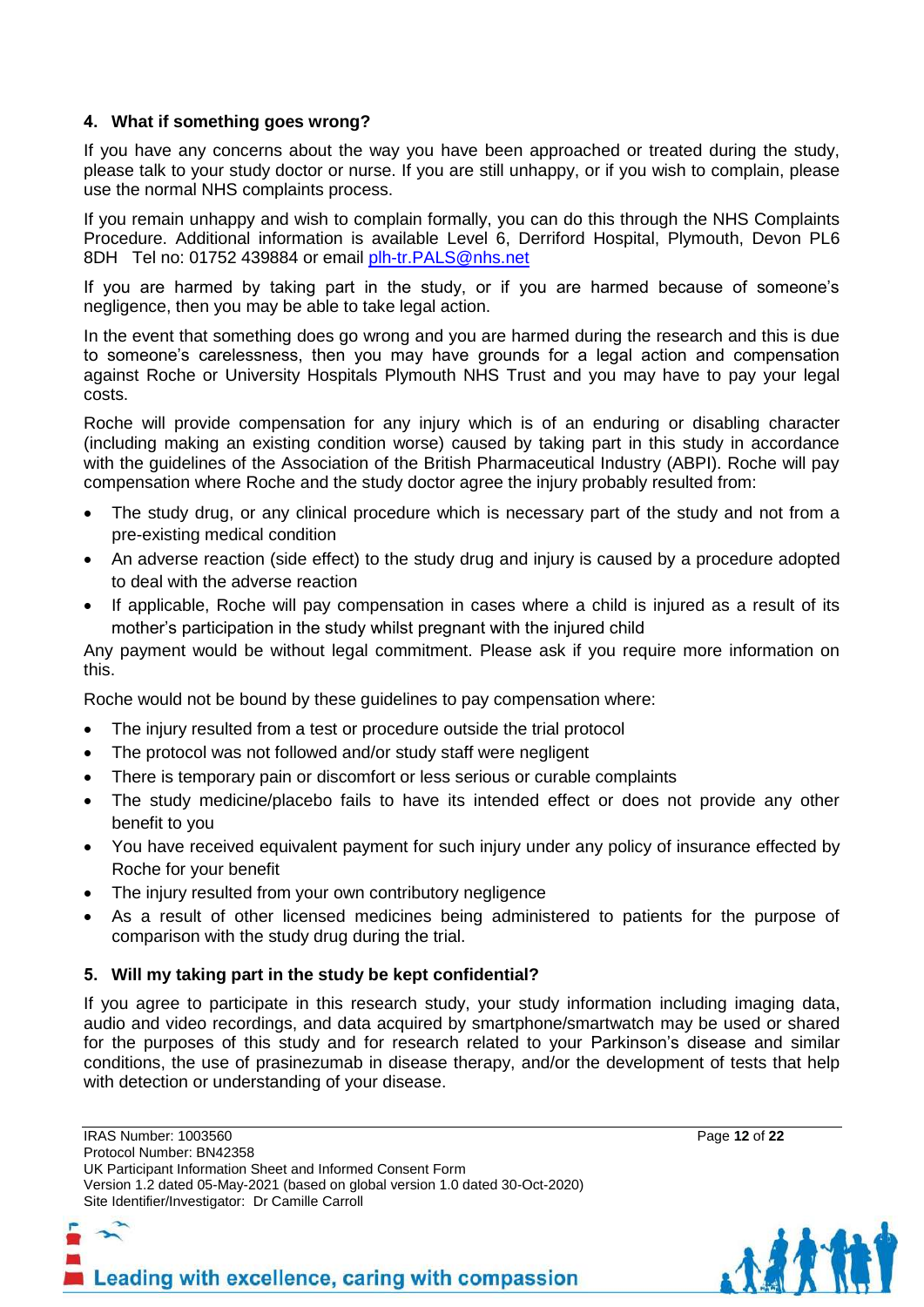# **4. What if something goes wrong?**

If you have any concerns about the way you have been approached or treated during the study, please talk to your study doctor or nurse. If you are still unhappy, or if you wish to complain, please use the normal NHS complaints process.

If you remain unhappy and wish to complain formally, you can do this through the NHS Complaints Procedure. Additional information is available Level 6, Derriford Hospital, Plymouth, Devon PL6 8DH Tel no: 01752 439884 or email [plh-tr.PALS@nhs.net](mailto:plh-tr.PALS@nhs.net)

If you are harmed by taking part in the study, or if you are harmed because of someone's negligence, then you may be able to take legal action.

In the event that something does go wrong and you are harmed during the research and this is due to someone's carelessness, then you may have grounds for a legal action and compensation against Roche or University Hospitals Plymouth NHS Trust and you may have to pay your legal costs.

Roche will provide compensation for any injury which is of an enduring or disabling character (including making an existing condition worse) caused by taking part in this study in accordance with the guidelines of the Association of the British Pharmaceutical Industry (ABPI). Roche will pay compensation where Roche and the study doctor agree the injury probably resulted from:

- The study drug, or any clinical procedure which is necessary part of the study and not from a pre-existing medical condition
- An adverse reaction (side effect) to the study drug and injury is caused by a procedure adopted to deal with the adverse reaction
- If applicable, Roche will pay compensation in cases where a child is injured as a result of its mother's participation in the study whilst pregnant with the injured child

Any payment would be without legal commitment. Please ask if you require more information on this.

Roche would not be bound by these guidelines to pay compensation where:

- The injury resulted from a test or procedure outside the trial protocol
- The protocol was not followed and/or study staff were negligent
- There is temporary pain or discomfort or less serious or curable complaints
- The study medicine/placebo fails to have its intended effect or does not provide any other benefit to you
- You have received equivalent payment for such injury under any policy of insurance effected by Roche for your benefit
- The injury resulted from your own contributory negligence
- As a result of other licensed medicines being administered to patients for the purpose of comparison with the study drug during the trial.

# **5. Will my taking part in the study be kept confidential?**

If you agree to participate in this research study, your study information including imaging data, audio and video recordings, and data acquired by smartphone/smartwatch may be used or shared for the purposes of this study and for research related to your Parkinson's disease and similar conditions, the use of prasinezumab in disease therapy, and/or the development of tests that help with detection or understanding of your disease.

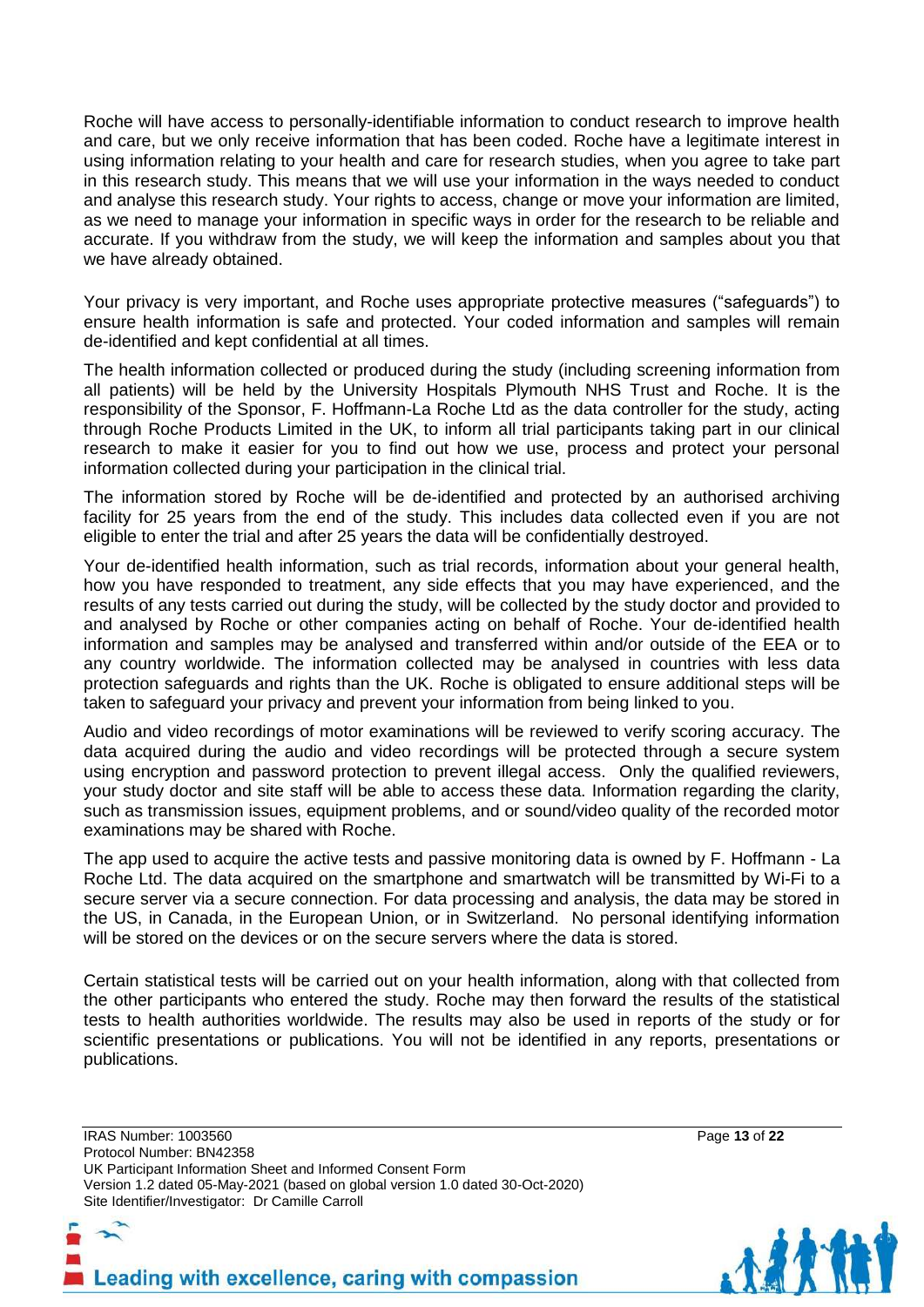Roche will have access to personally-identifiable information to conduct research to improve health and care, but we only receive information that has been coded. Roche have a legitimate interest in using information relating to your health and care for research studies, when you agree to take part in this research study. This means that we will use your information in the ways needed to conduct and analyse this research study. Your rights to access, change or move your information are limited, as we need to manage your information in specific ways in order for the research to be reliable and accurate. If you withdraw from the study, we will keep the information and samples about you that we have already obtained.

Your privacy is very important, and Roche uses appropriate protective measures ("safeguards") to ensure health information is safe and protected. Your coded information and samples will remain de-identified and kept confidential at all times.

The health information collected or produced during the study (including screening information from all patients) will be held by the University Hospitals Plymouth NHS Trust and Roche. It is the responsibility of the Sponsor, F. Hoffmann-La Roche Ltd as the data controller for the study, acting through Roche Products Limited in the UK, to inform all trial participants taking part in our clinical research to make it easier for you to find out how we use, process and protect your personal information collected during your participation in the clinical trial.

The information stored by Roche will be de-identified and protected by an authorised archiving facility for 25 years from the end of the study. This includes data collected even if you are not eligible to enter the trial and after 25 years the data will be confidentially destroyed.

Your de-identified health information, such as trial records, information about your general health, how you have responded to treatment, any side effects that you may have experienced, and the results of any tests carried out during the study, will be collected by the study doctor and provided to and analysed by Roche or other companies acting on behalf of Roche. Your de-identified health information and samples may be analysed and transferred within and/or outside of the EEA or to any country worldwide. The information collected may be analysed in countries with less data protection safeguards and rights than the UK. Roche is obligated to ensure additional steps will be taken to safeguard your privacy and prevent your information from being linked to you.

Audio and video recordings of motor examinations will be reviewed to verify scoring accuracy. The data acquired during the audio and video recordings will be protected through a secure system using encryption and password protection to prevent illegal access. Only the qualified reviewers, your study doctor and site staff will be able to access these data. Information regarding the clarity, such as transmission issues, equipment problems, and or sound/video quality of the recorded motor examinations may be shared with Roche.

The app used to acquire the active tests and passive monitoring data is owned by F. Hoffmann - La Roche Ltd. The data acquired on the smartphone and smartwatch will be transmitted by Wi-Fi to a secure server via a secure connection. For data processing and analysis, the data may be stored in the US, in Canada, in the European Union, or in Switzerland. No personal identifying information will be stored on the devices or on the secure servers where the data is stored.

Certain statistical tests will be carried out on your health information, along with that collected from the other participants who entered the study. Roche may then forward the results of the statistical tests to health authorities worldwide. The results may also be used in reports of the study or for scientific presentations or publications. You will not be identified in any reports, presentations or publications.



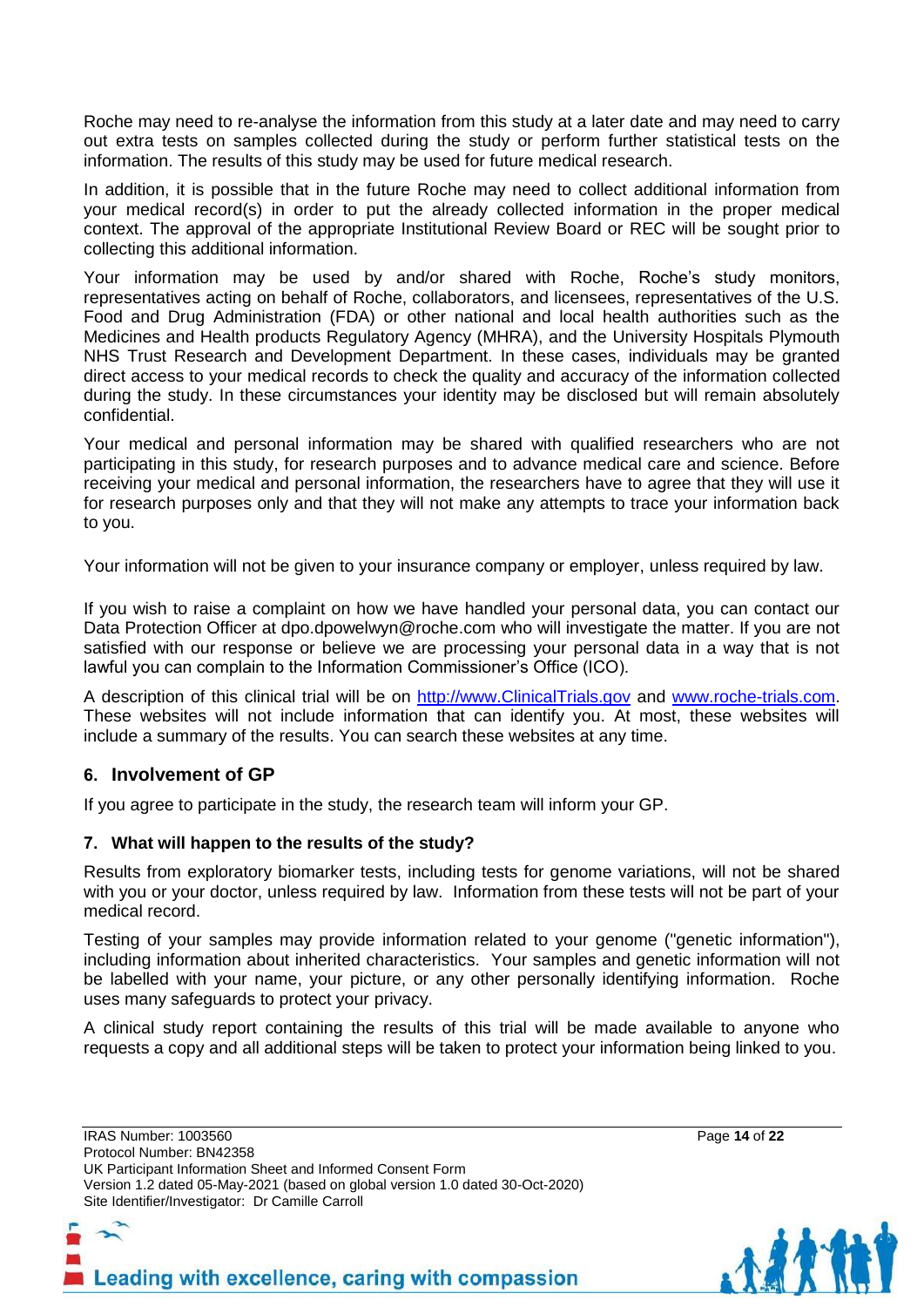Roche may need to re-analyse the information from this study at a later date and may need to carry out extra tests on samples collected during the study or perform further statistical tests on the information. The results of this study may be used for future medical research.

In addition, it is possible that in the future Roche may need to collect additional information from your medical record(s) in order to put the already collected information in the proper medical context. The approval of the appropriate Institutional Review Board or REC will be sought prior to collecting this additional information.

Your information may be used by and/or shared with Roche, Roche's study monitors, representatives acting on behalf of Roche, collaborators, and licensees, representatives of the U.S. Food and Drug Administration (FDA) or other national and local health authorities such as the Medicines and Health products Regulatory Agency (MHRA), and the University Hospitals Plymouth NHS Trust Research and Development Department. In these cases, individuals may be granted direct access to your medical records to check the quality and accuracy of the information collected during the study. In these circumstances your identity may be disclosed but will remain absolutely confidential.

Your medical and personal information may be shared with qualified researchers who are not participating in this study, for research purposes and to advance medical care and science. Before receiving your medical and personal information, the researchers have to agree that they will use it for research purposes only and that they will not make any attempts to trace your information back to you.

Your information will not be given to your insurance company or employer, unless required by law.

If you wish to raise a complaint on how we have handled your personal data, you can contact our Data Protection Officer at dpo.dpowelwyn@roche.com who will investigate the matter. If you are not satisfied with our response or believe we are processing your personal data in a way that is not lawful you can complain to the Information Commissioner's Office (ICO).

A description of this clinical trial will be on [http://www.ClinicalTrials.gov](http://www.clinicaltrials.gov/) and [www.roche-trials.com.](http://www.roche-trials.com/) These websites will not include information that can identify you. At most, these websites will include a summary of the results. You can search these websites at any time.

# **6. Involvement of GP**

If you agree to participate in the study, the research team will inform your GP.

#### **7. What will happen to the results of the study?**

Results from exploratory biomarker tests, including tests for genome variations, will not be shared with you or your doctor, unless required by law. Information from these tests will not be part of your medical record.

Testing of your samples may provide information related to your genome ("genetic information"), including information about inherited characteristics. Your samples and genetic information will not be labelled with your name, your picture, or any other personally identifying information. Roche uses many safeguards to protect your privacy.

A clinical study report containing the results of this trial will be made available to anyone who requests a copy and all additional steps will be taken to protect your information being linked to you.

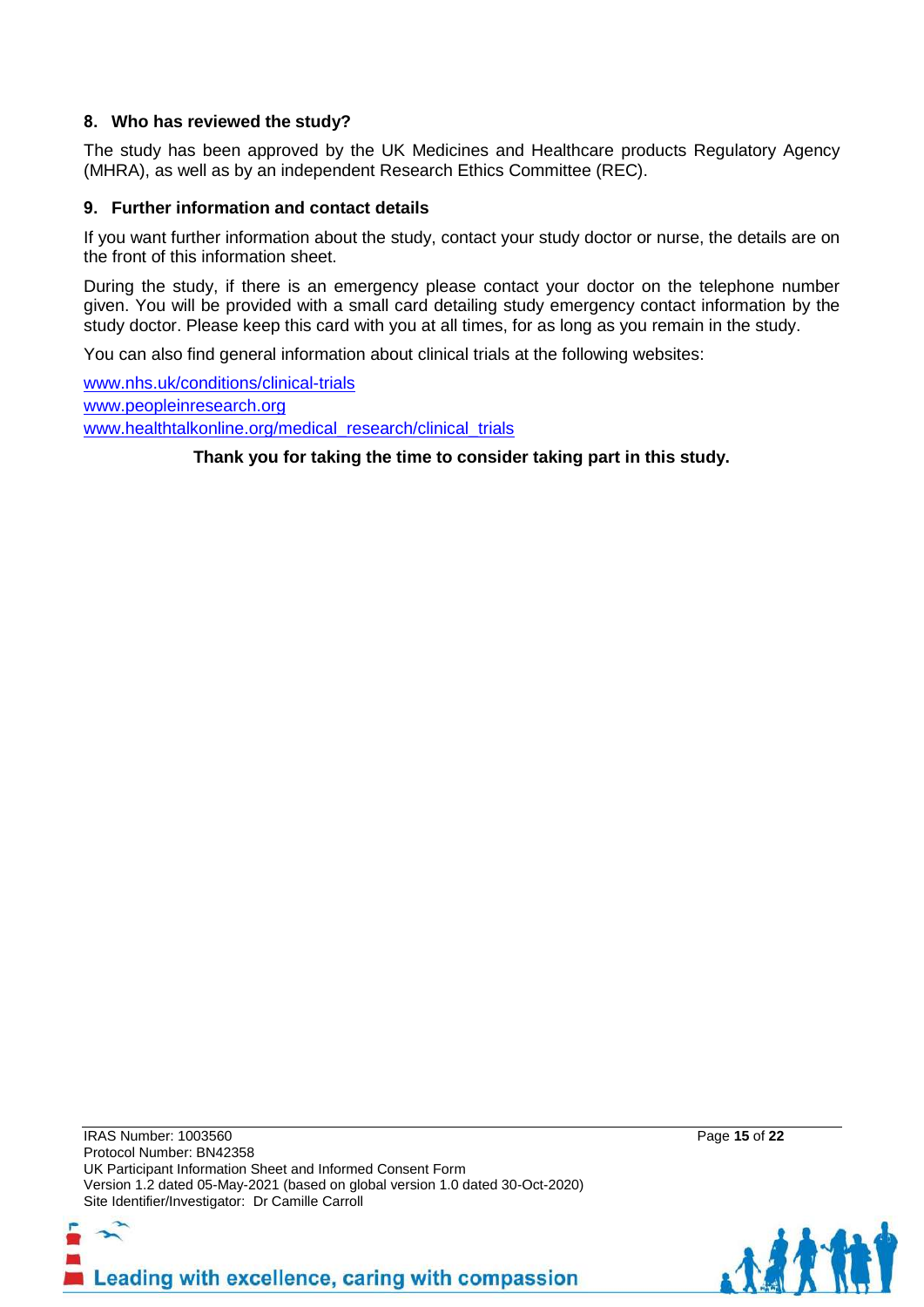#### **8. Who has reviewed the study?**

The study has been approved by the UK Medicines and Healthcare products Regulatory Agency (MHRA), as well as by an independent Research Ethics Committee (REC).

#### **9. Further information and contact details**

If you want further information about the study, contact your study doctor or nurse, the details are on the front of this information sheet.

During the study, if there is an emergency please contact your doctor on the telephone number given. You will be provided with a small card detailing study emergency contact information by the study doctor. Please keep this card with you at all times, for as long as you remain in the study.

You can also find general information about clinical trials at the following websites:

[www.nhs.uk/conditions/clinical-trials](http://www.nhs.uk/conditions/clinical-trials) [www.peopleinresearch.org](http://www.peopleinresearch.org/) [www.healthtalkonline.org/medical\\_research/clinical\\_trials](http://www.healthtalkonline.org/medical_research/clinical_trials)

**Thank you for taking the time to consider taking part in this study.**

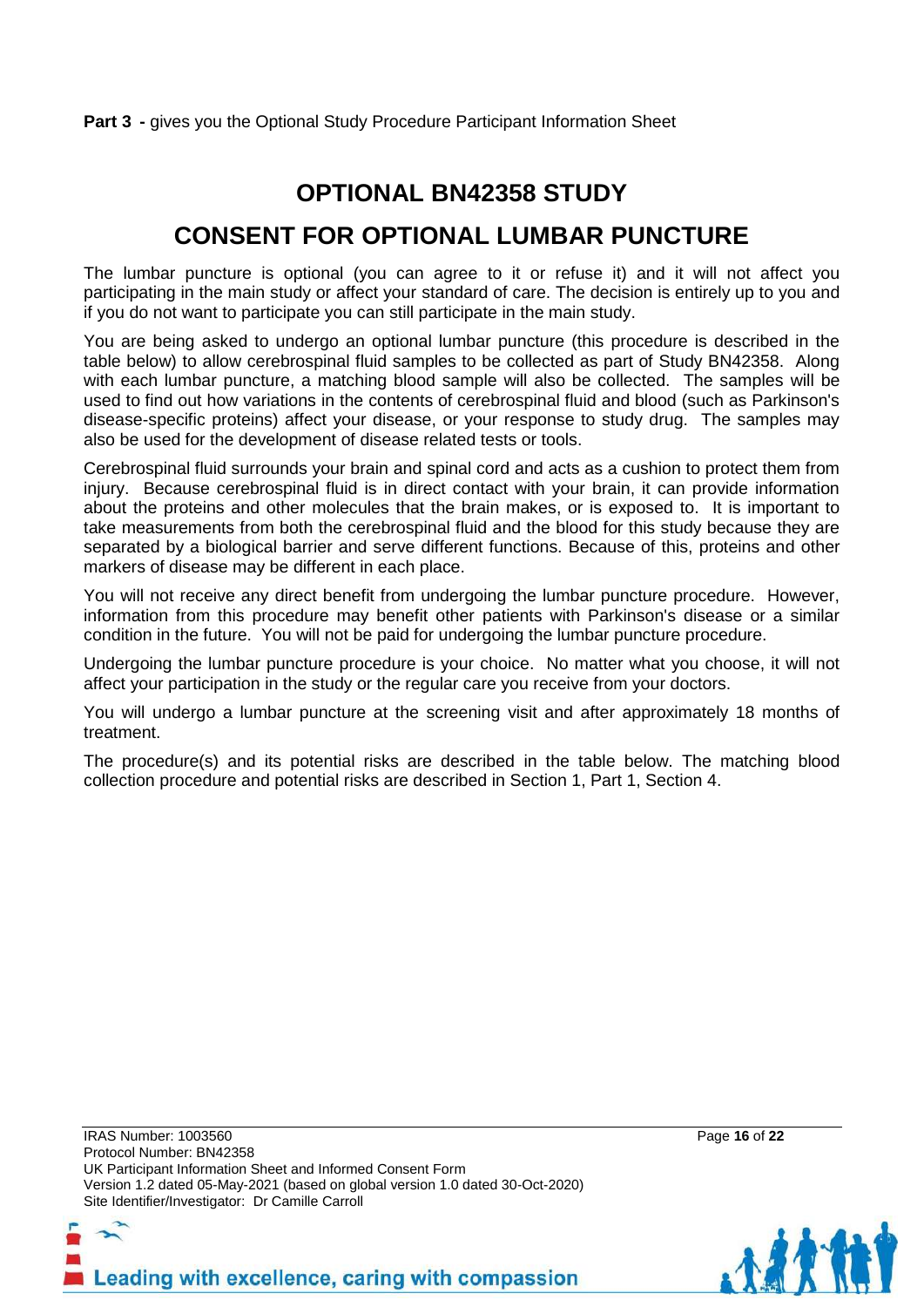### **Part 3** - gives you the Optional Study Procedure Participant Information Sheet

# **OPTIONAL BN42358 STUDY**

# **CONSENT FOR OPTIONAL LUMBAR PUNCTURE**

The lumbar puncture is optional (you can agree to it or refuse it) and it will not affect you participating in the main study or affect your standard of care. The decision is entirely up to you and if you do not want to participate you can still participate in the main study.

You are being asked to undergo an optional lumbar puncture (this procedure is described in the table below) to allow cerebrospinal fluid samples to be collected as part of Study BN42358. Along with each lumbar puncture, a matching blood sample will also be collected. The samples will be used to find out how variations in the contents of cerebrospinal fluid and blood (such as Parkinson's disease-specific proteins) affect your disease, or your response to study drug. The samples may also be used for the development of disease related tests or tools.

Cerebrospinal fluid surrounds your brain and spinal cord and acts as a cushion to protect them from injury. Because cerebrospinal fluid is in direct contact with your brain, it can provide information about the proteins and other molecules that the brain makes, or is exposed to. It is important to take measurements from both the cerebrospinal fluid and the blood for this study because they are separated by a biological barrier and serve different functions. Because of this, proteins and other markers of disease may be different in each place.

You will not receive any direct benefit from undergoing the lumbar puncture procedure. However, information from this procedure may benefit other patients with Parkinson's disease or a similar condition in the future. You will not be paid for undergoing the lumbar puncture procedure.

Undergoing the lumbar puncture procedure is your choice. No matter what you choose, it will not affect your participation in the study or the regular care you receive from your doctors.

You will undergo a lumbar puncture at the screening visit and after approximately 18 months of treatment.

The procedure(s) and its potential risks are described in the table below. The matching blood collection procedure and potential risks are described in Section 1, Part 1, Section 4.

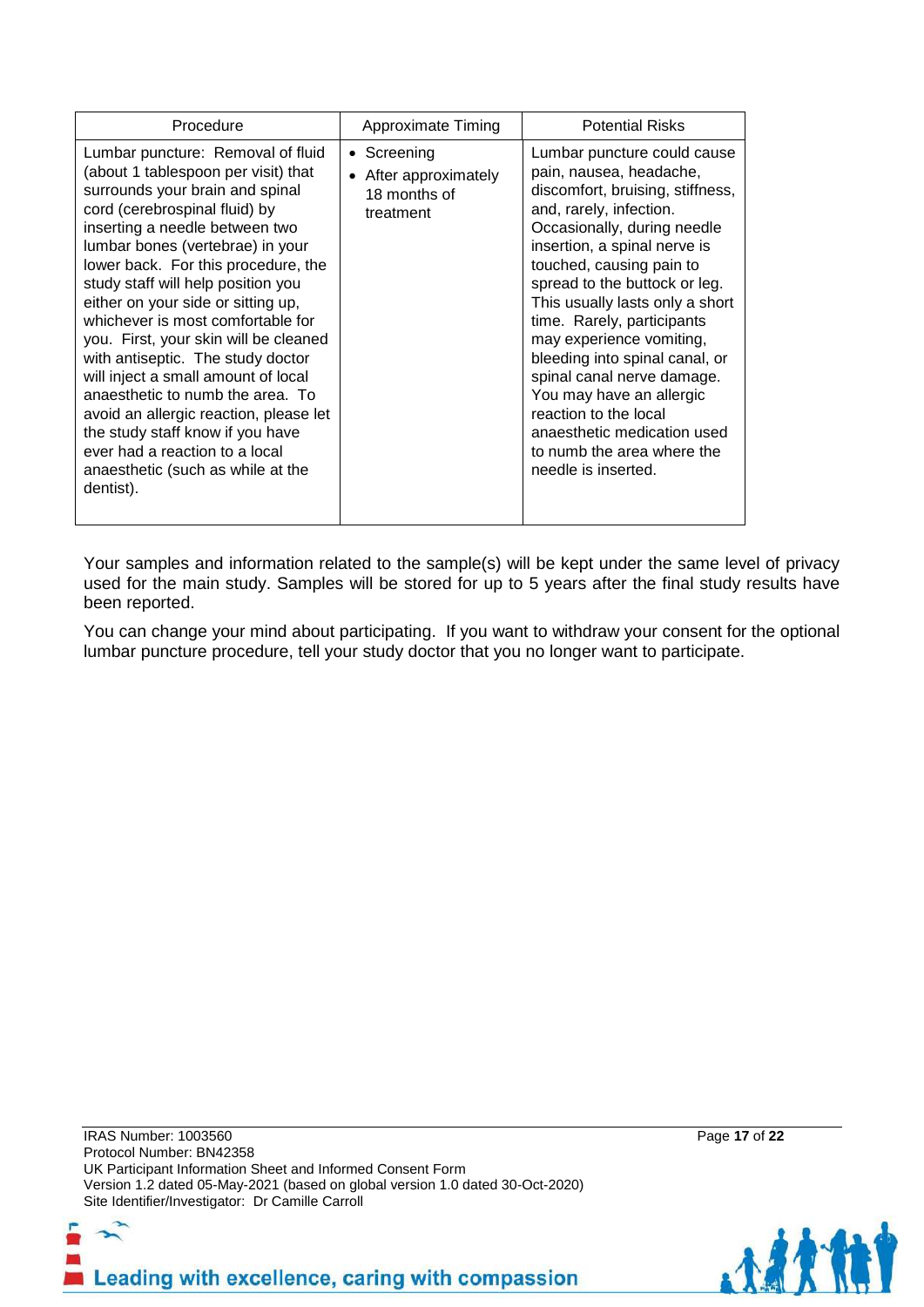| Procedure                                                                                                                                                                                                                                                                                                                                                                                                                                                                                                                                                                                                                                                                                             | Approximate Timing                                                | <b>Potential Risks</b>                                                                                                                                                                                                                                                                                                                                                                                                                                                                                                                                  |  |
|-------------------------------------------------------------------------------------------------------------------------------------------------------------------------------------------------------------------------------------------------------------------------------------------------------------------------------------------------------------------------------------------------------------------------------------------------------------------------------------------------------------------------------------------------------------------------------------------------------------------------------------------------------------------------------------------------------|-------------------------------------------------------------------|---------------------------------------------------------------------------------------------------------------------------------------------------------------------------------------------------------------------------------------------------------------------------------------------------------------------------------------------------------------------------------------------------------------------------------------------------------------------------------------------------------------------------------------------------------|--|
| Lumbar puncture: Removal of fluid<br>(about 1 tablespoon per visit) that<br>surrounds your brain and spinal<br>cord (cerebrospinal fluid) by<br>inserting a needle between two<br>lumbar bones (vertebrae) in your<br>lower back. For this procedure, the<br>study staff will help position you<br>either on your side or sitting up,<br>whichever is most comfortable for<br>you. First, your skin will be cleaned<br>with antiseptic. The study doctor<br>will inject a small amount of local<br>anaesthetic to numb the area. To<br>avoid an allergic reaction, please let<br>the study staff know if you have<br>ever had a reaction to a local<br>anaesthetic (such as while at the<br>dentist). | • Screening<br>• After approximately<br>18 months of<br>treatment | Lumbar puncture could cause<br>pain, nausea, headache,<br>discomfort, bruising, stiffness,<br>and, rarely, infection.<br>Occasionally, during needle<br>insertion, a spinal nerve is<br>touched, causing pain to<br>spread to the buttock or leg.<br>This usually lasts only a short<br>time. Rarely, participants<br>may experience vomiting,<br>bleeding into spinal canal, or<br>spinal canal nerve damage.<br>You may have an allergic<br>reaction to the local<br>anaesthetic medication used<br>to numb the area where the<br>needle is inserted. |  |

Your samples and information related to the sample(s) will be kept under the same level of privacy used for the main study. Samples will be stored for up to 5 years after the final study results have been reported.

You can change your mind about participating. If you want to withdraw your consent for the optional lumbar puncture procedure, tell your study doctor that you no longer want to participate.

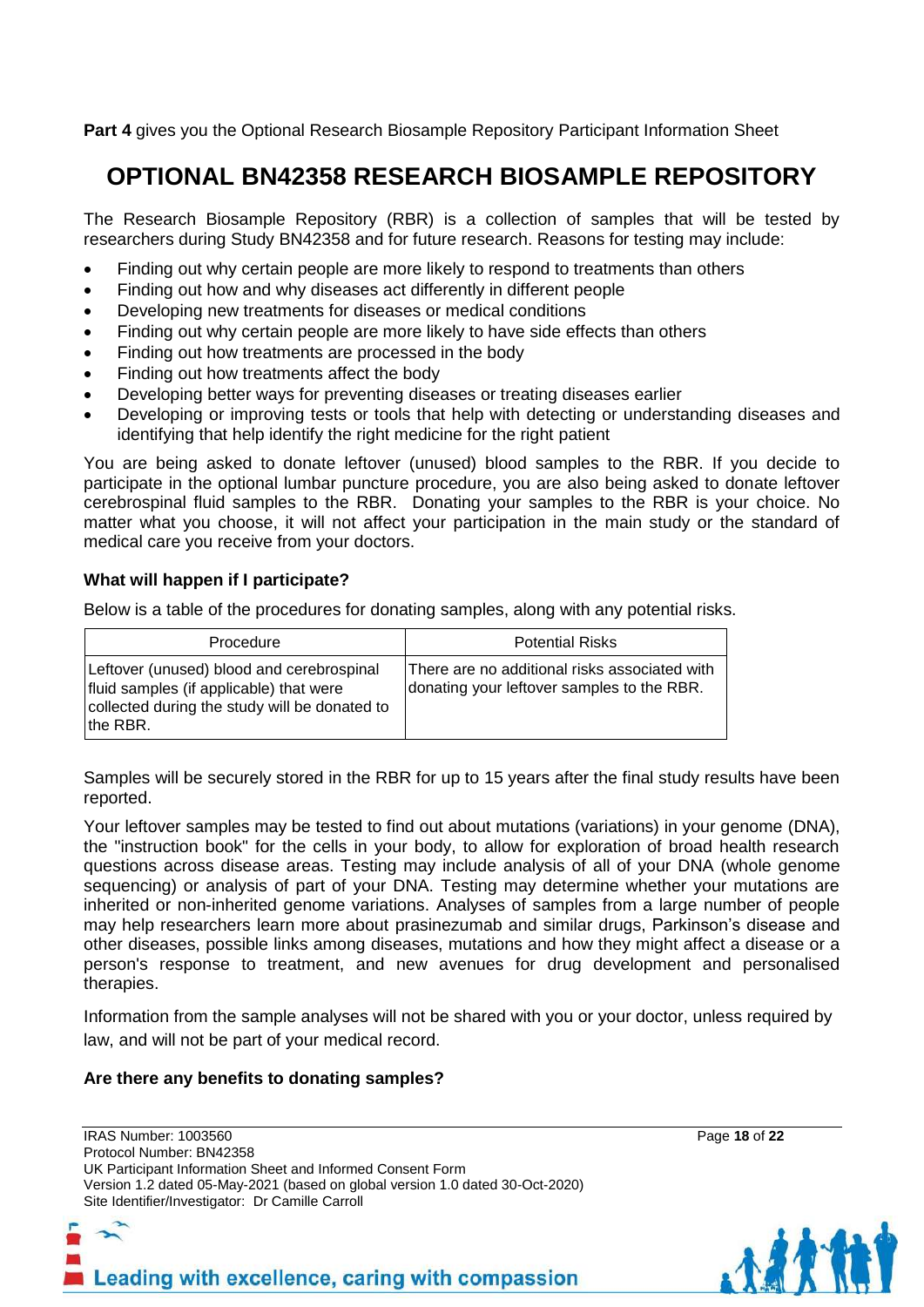**Part 4** gives you the Optional Research Biosample Repository Participant Information Sheet

# **OPTIONAL BN42358 RESEARCH BIOSAMPLE REPOSITORY**

The Research Biosample Repository (RBR) is a collection of samples that will be tested by researchers during Study BN42358 and for future research. Reasons for testing may include:

- Finding out why certain people are more likely to respond to treatments than others
- Finding out how and why diseases act differently in different people
- Developing new treatments for diseases or medical conditions
- Finding out why certain people are more likely to have side effects than others
- Finding out how treatments are processed in the body
- Finding out how treatments affect the body
- Developing better ways for preventing diseases or treating diseases earlier
- Developing or improving tests or tools that help with detecting or understanding diseases and identifying that help identify the right medicine for the right patient

You are being asked to donate leftover (unused) blood samples to the RBR. If you decide to participate in the optional lumbar puncture procedure, you are also being asked to donate leftover cerebrospinal fluid samples to the RBR. Donating your samples to the RBR is your choice. No matter what you choose, it will not affect your participation in the main study or the standard of medical care you receive from your doctors.

# **What will happen if I participate?**

Below is a table of the procedures for donating samples, along with any potential risks.

| Procedure                                                                                                                                          | <b>Potential Risks</b>                                                                      |
|----------------------------------------------------------------------------------------------------------------------------------------------------|---------------------------------------------------------------------------------------------|
| Leftover (unused) blood and cerebrospinal<br>fluid samples (if applicable) that were<br>collected during the study will be donated to<br>Ithe RBR. | There are no additional risks associated with<br>donating your leftover samples to the RBR. |

Samples will be securely stored in the RBR for up to 15 years after the final study results have been reported.

Your leftover samples may be tested to find out about mutations (variations) in your genome (DNA), the "instruction book" for the cells in your body, to allow for exploration of broad health research questions across disease areas. Testing may include analysis of all of your DNA (whole genome sequencing) or analysis of part of your DNA. Testing may determine whether your mutations are inherited or non-inherited genome variations. Analyses of samples from a large number of people may help researchers learn more about prasinezumab and similar drugs, Parkinson's disease and other diseases, possible links among diseases, mutations and how they might affect a disease or a person's response to treatment, and new avenues for drug development and personalised therapies.

Information from the sample analyses will not be shared with you or your doctor, unless required by law, and will not be part of your medical record.

#### **Are there any benefits to donating samples?**

IRAS Number: 1003560 Page **18** of **22** Protocol Number: BN42358 UK Participant Information Sheet and Informed Consent Form Version 1.2 dated 05-May-2021 (based on global version 1.0 dated 30-Oct-2020) Site Identifier/Investigator: Dr Camille Carroll

Leading with excellence, caring with compassion

AAA A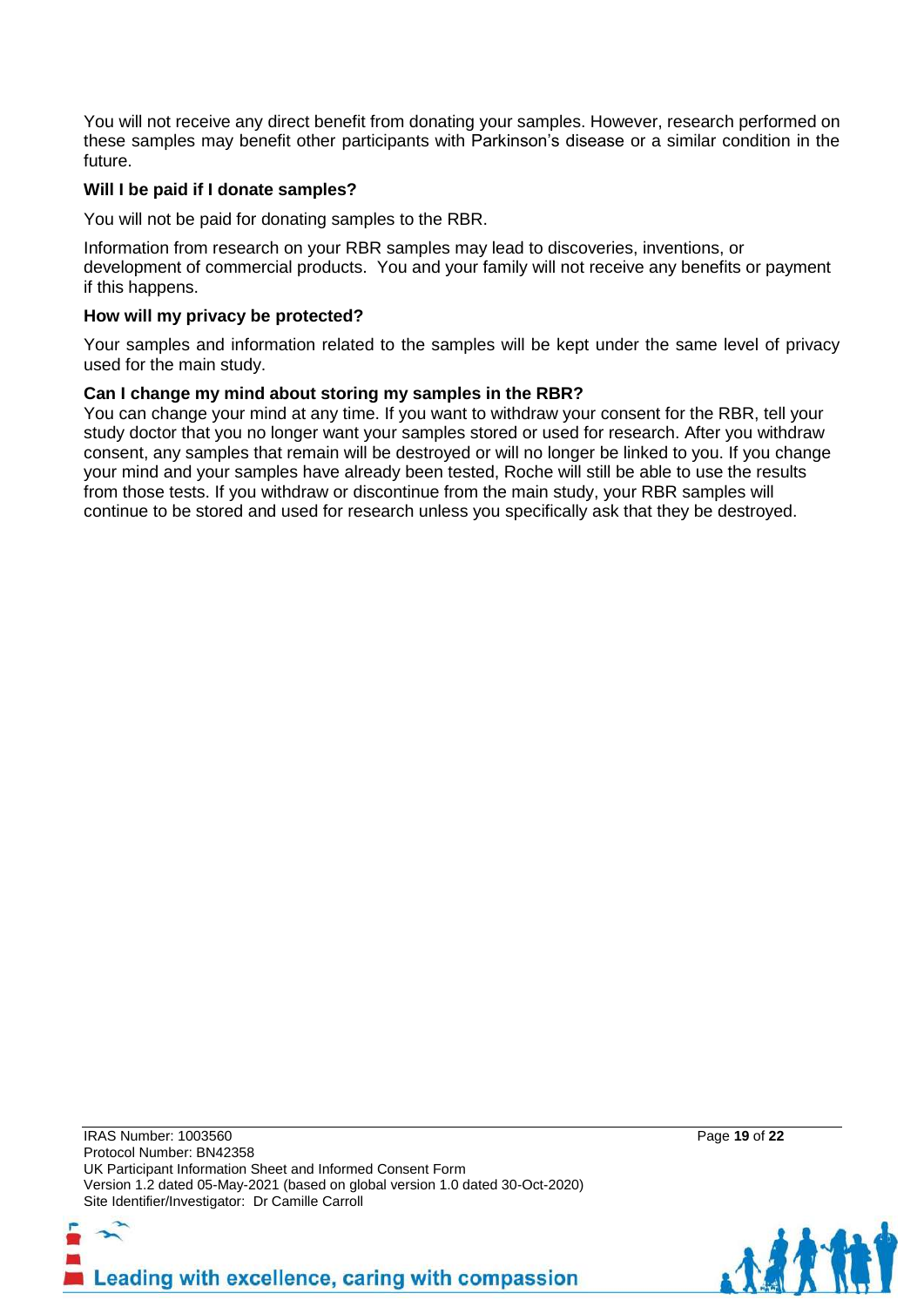You will not receive any direct benefit from donating your samples. However, research performed on these samples may benefit other participants with Parkinson's disease or a similar condition in the future.

### **Will I be paid if I donate samples?**

You will not be paid for donating samples to the RBR.

Information from research on your RBR samples may lead to discoveries, inventions, or development of commercial products. You and your family will not receive any benefits or payment if this happens.

#### **How will my privacy be protected?**

Your samples and information related to the samples will be kept under the same level of privacy used for the main study.

#### **Can I change my mind about storing my samples in the RBR?**

You can change your mind at any time. If you want to withdraw your consent for the RBR, tell your study doctor that you no longer want your samples stored or used for research. After you withdraw consent, any samples that remain will be destroyed or will no longer be linked to you. If you change your mind and your samples have already been tested, Roche will still be able to use the results from those tests. If you withdraw or discontinue from the main study, your RBR samples will continue to be stored and used for research unless you specifically ask that they be destroyed.

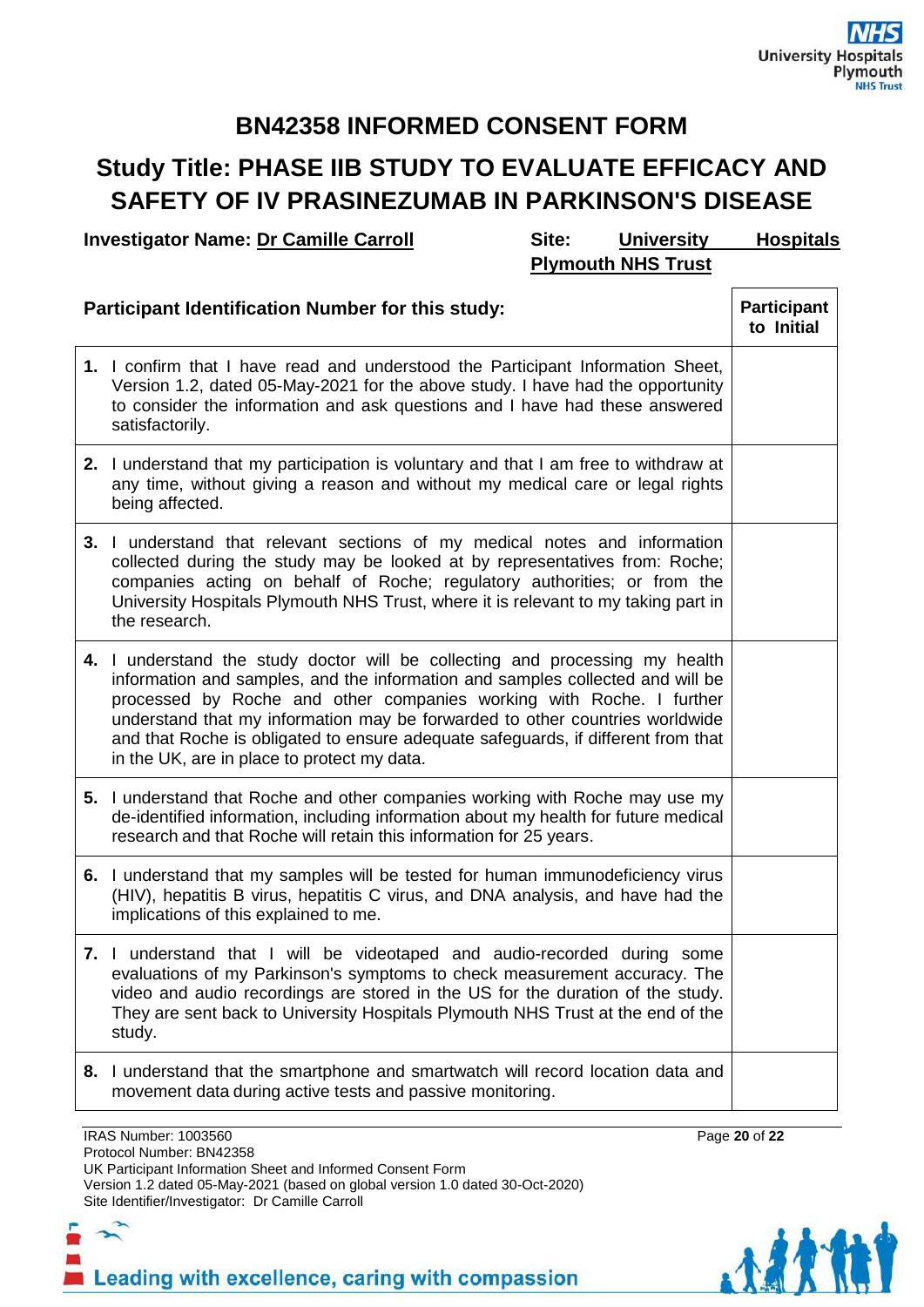# **BN42358 INFORMED CONSENT FORM**

# **Study Title: PHASE IIB STUDY TO EVALUATE EFFICACY AND SAFETY OF IV PRASINEZUMAB IN PARKINSON'S DISEASE**

**Investigator Name: Dr Camille Carroll Site: University Hospitals** 

**Plymouth NHS Trust**

| <b>Participant Identification Number for this study:</b> |                                                                                                                                                                                                                                                                                                                                                                                                                                                            |  |
|----------------------------------------------------------|------------------------------------------------------------------------------------------------------------------------------------------------------------------------------------------------------------------------------------------------------------------------------------------------------------------------------------------------------------------------------------------------------------------------------------------------------------|--|
|                                                          | 1. I confirm that I have read and understood the Participant Information Sheet,<br>Version 1.2, dated 05-May-2021 for the above study. I have had the opportunity<br>to consider the information and ask questions and I have had these answered<br>satisfactorily.                                                                                                                                                                                        |  |
|                                                          | 2. I understand that my participation is voluntary and that I am free to withdraw at<br>any time, without giving a reason and without my medical care or legal rights<br>being affected.                                                                                                                                                                                                                                                                   |  |
|                                                          | 3. I understand that relevant sections of my medical notes and information<br>collected during the study may be looked at by representatives from: Roche;<br>companies acting on behalf of Roche; regulatory authorities; or from the<br>University Hospitals Plymouth NHS Trust, where it is relevant to my taking part in<br>the research.                                                                                                               |  |
|                                                          | 4. I understand the study doctor will be collecting and processing my health<br>information and samples, and the information and samples collected and will be<br>processed by Roche and other companies working with Roche. I further<br>understand that my information may be forwarded to other countries worldwide<br>and that Roche is obligated to ensure adequate safeguards, if different from that<br>in the UK, are in place to protect my data. |  |
|                                                          | 5. I understand that Roche and other companies working with Roche may use my<br>de-identified information, including information about my health for future medical<br>research and that Roche will retain this information for 25 years.                                                                                                                                                                                                                  |  |
|                                                          | 6. I understand that my samples will be tested for human immunodeficiency virus<br>(HIV), hepatitis B virus, hepatitis C virus, and DNA analysis, and have had the<br>implications of this explained to me.                                                                                                                                                                                                                                                |  |
|                                                          | 7. I understand that I will be videotaped and audio-recorded during some<br>evaluations of my Parkinson's symptoms to check measurement accuracy. The<br>video and audio recordings are stored in the US for the duration of the study.<br>They are sent back to University Hospitals Plymouth NHS Trust at the end of the<br>study.                                                                                                                       |  |
|                                                          | 8. I understand that the smartphone and smartwatch will record location data and<br>movement data during active tests and passive monitoring.                                                                                                                                                                                                                                                                                                              |  |

IRAS Number: 1003560 Page **20** of **22** Protocol Number: BN42358 UK Participant Information Sheet and Informed Consent Form Version 1.2 dated 05-May-2021 (based on global version 1.0 dated 30-Oct-2020) Site Identifier/Investigator: Dr Camille Carroll

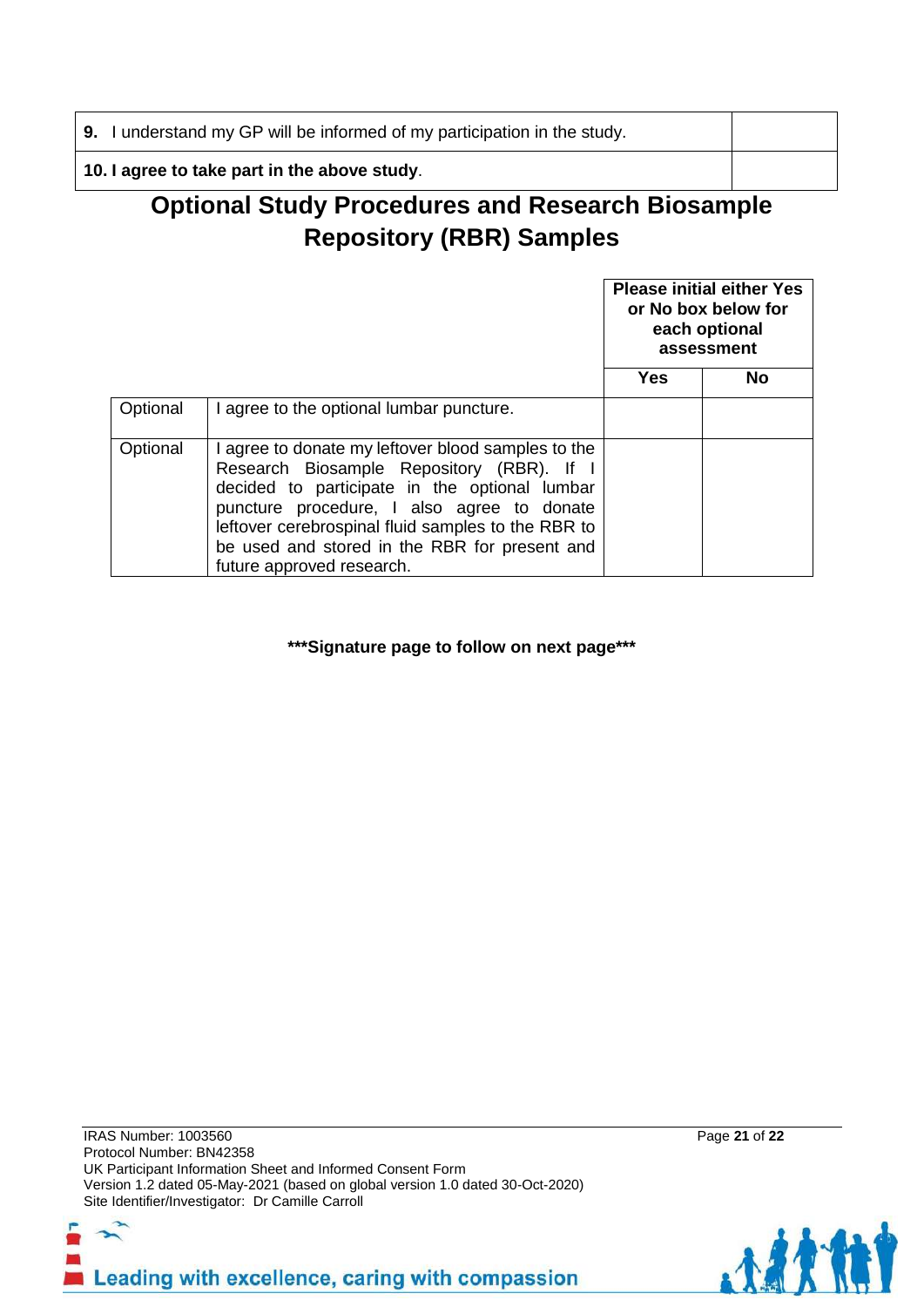**9.** I understand my GP will be informed of my participation in the study.

**10. I agree to take part in the above study**.

# **Optional Study Procedures and Research Biosample Repository (RBR) Samples**

|          |                                                                                                                                                                                                                                                                                                                                    | <b>Please initial either Yes</b><br>or No box below for<br>each optional<br>assessment |    |
|----------|------------------------------------------------------------------------------------------------------------------------------------------------------------------------------------------------------------------------------------------------------------------------------------------------------------------------------------|----------------------------------------------------------------------------------------|----|
|          |                                                                                                                                                                                                                                                                                                                                    | Yes                                                                                    | No |
| Optional | I agree to the optional lumbar puncture.                                                                                                                                                                                                                                                                                           |                                                                                        |    |
| Optional | I agree to donate my leftover blood samples to the<br>Research Biosample Repository (RBR). If I<br>decided to participate in the optional lumbar<br>puncture procedure, I also agree to donate<br>leftover cerebrospinal fluid samples to the RBR to<br>be used and stored in the RBR for present and<br>future approved research. |                                                                                        |    |

**\*\*\*Signature page to follow on next page\*\*\***

IRAS Number: 1003560 Page **21** of **22** Protocol Number: BN42358 UK Participant Information Sheet and Informed Consent Form Version 1.2 dated 05-May-2021 (based on global version 1.0 dated 30-Oct-2020) Site Identifier/Investigator: Dr Camille Carroll